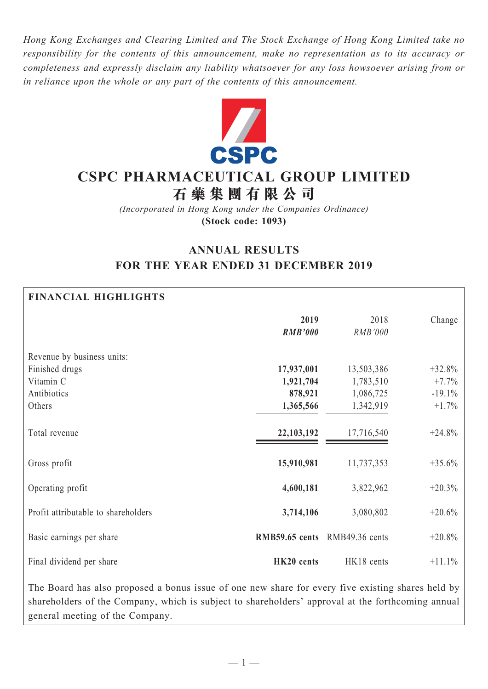*Hong Kong Exchanges and Clearing Limited and The Stock Exchange of Hong Kong Limited take no responsibility for the contents of this announcement, make no representation as to its accuracy or completeness and expressly disclaim any liability whatsoever for any loss howsoever arising from or in reliance upon the whole or any part of the contents of this announcement.*



# **CSPC PHARMACEUTICAL GROUP LIMITED**

**石 藥 集 團 有 限 公 司**

*(Incorporated in Hong Kong under the Companies Ordinance)* **(Stock code: 1093)**

# **ANNUAL RESULTS FOR THE YEAR ENDED 31 DECEMBER 2019**

### **FINANCIAL HIGHLIGHTS**

|                                     | 2019<br><b>RMB'000</b>        | 2018<br>RMB'000 | Change   |
|-------------------------------------|-------------------------------|-----------------|----------|
| Revenue by business units:          |                               |                 |          |
| Finished drugs                      | 17,937,001                    | 13,503,386      | $+32.8%$ |
| Vitamin C                           | 1,921,704                     | 1,783,510       | $+7.7%$  |
| Antibiotics                         | 878,921                       | 1,086,725       | $-19.1%$ |
| Others                              | 1,365,566                     | 1,342,919       | $+1.7\%$ |
|                                     |                               |                 |          |
| Total revenue                       | 22, 103, 192                  | 17,716,540      | $+24.8%$ |
| Gross profit                        | 15,910,981                    | 11,737,353      | $+35.6%$ |
| Operating profit                    | 4,600,181                     | 3,822,962       | $+20.3%$ |
| Profit attributable to shareholders | 3,714,106                     | 3,080,802       | $+20.6%$ |
| Basic earnings per share            | RMB59.65 cents RMB49.36 cents |                 | $+20.8%$ |
| Final dividend per share            | HK20 cents                    | HK18 cents      | $+11.1%$ |

The Board has also proposed a bonus issue of one new share for every five existing shares held by shareholders of the Company, which is subject to shareholders' approval at the forthcoming annual general meeting of the Company.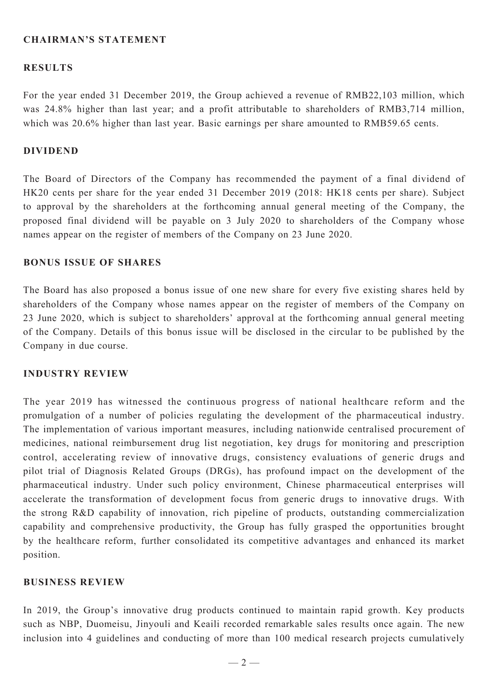### **Chairman's Statement**

#### **RESULTS**

For the year ended 31 December 2019, the Group achieved a revenue of RMB22,103 million, which was 24.8% higher than last year; and a profit attributable to shareholders of RMB3,714 million, which was 20.6% higher than last year. Basic earnings per share amounted to RMB59.65 cents.

#### **DIVIDEND**

The Board of Directors of the Company has recommended the payment of a final dividend of HK20 cents per share for the year ended 31 December 2019 (2018: HK18 cents per share). Subject to approval by the shareholders at the forthcoming annual general meeting of the Company, the proposed final dividend will be payable on 3 July 2020 to shareholders of the Company whose names appear on the register of members of the Company on 23 June 2020.

#### **BONUS ISSUE OF SHARES**

The Board has also proposed a bonus issue of one new share for every five existing shares held by shareholders of the Company whose names appear on the register of members of the Company on 23 June 2020, which is subject to shareholders' approval at the forthcoming annual general meeting of the Company. Details of this bonus issue will be disclosed in the circular to be published by the Company in due course.

#### **INDUSTRY REVIEW**

The year 2019 has witnessed the continuous progress of national healthcare reform and the promulgation of a number of policies regulating the development of the pharmaceutical industry. The implementation of various important measures, including nationwide centralised procurement of medicines, national reimbursement drug list negotiation, key drugs for monitoring and prescription control, accelerating review of innovative drugs, consistency evaluations of generic drugs and pilot trial of Diagnosis Related Groups (DRGs), has profound impact on the development of the pharmaceutical industry. Under such policy environment, Chinese pharmaceutical enterprises will accelerate the transformation of development focus from generic drugs to innovative drugs. With the strong R&D capability of innovation, rich pipeline of products, outstanding commercialization capability and comprehensive productivity, the Group has fully grasped the opportunities brought by the healthcare reform, further consolidated its competitive advantages and enhanced its market position.

#### **BUSINESS REVIEW**

In 2019, the Group's innovative drug products continued to maintain rapid growth. Key products such as NBP, Duomeisu, Jinyouli and Keaili recorded remarkable sales results once again. The new inclusion into 4 guidelines and conducting of more than 100 medical research projects cumulatively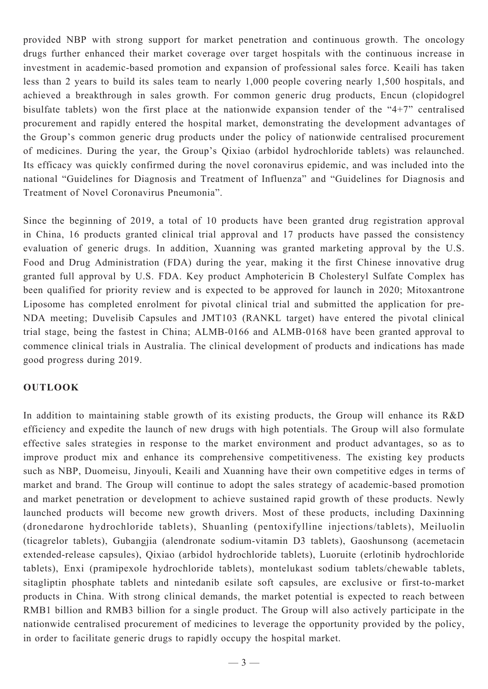provided NBP with strong support for market penetration and continuous growth. The oncology drugs further enhanced their market coverage over target hospitals with the continuous increase in investment in academic-based promotion and expansion of professional sales force. Keaili has taken less than 2 years to build its sales team to nearly 1,000 people covering nearly 1,500 hospitals, and achieved a breakthrough in sales growth. For common generic drug products, Encun (clopidogrel bisulfate tablets) won the first place at the nationwide expansion tender of the "4+7" centralised procurement and rapidly entered the hospital market, demonstrating the development advantages of the Group's common generic drug products under the policy of nationwide centralised procurement of medicines. During the year, the Group's Qixiao (arbidol hydrochloride tablets) was relaunched. Its efficacy was quickly confirmed during the novel coronavirus epidemic, and was included into the national "Guidelines for Diagnosis and Treatment of Influenza" and "Guidelines for Diagnosis and Treatment of Novel Coronavirus Pneumonia".

Since the beginning of 2019, a total of 10 products have been granted drug registration approval in China, 16 products granted clinical trial approval and 17 products have passed the consistency evaluation of generic drugs. In addition, Xuanning was granted marketing approval by the U.S. Food and Drug Administration (FDA) during the year, making it the first Chinese innovative drug granted full approval by U.S. FDA. Key product Amphotericin B Cholesteryl Sulfate Complex has been qualified for priority review and is expected to be approved for launch in 2020; Mitoxantrone Liposome has completed enrolment for pivotal clinical trial and submitted the application for pre-NDA meeting; Duvelisib Capsules and JMT103 (RANKL target) have entered the pivotal clinical trial stage, being the fastest in China; ALMB-0166 and ALMB-0168 have been granted approval to commence clinical trials in Australia. The clinical development of products and indications has made good progress during 2019.

#### **OUTLOOK**

In addition to maintaining stable growth of its existing products, the Group will enhance its R&D efficiency and expedite the launch of new drugs with high potentials. The Group will also formulate effective sales strategies in response to the market environment and product advantages, so as to improve product mix and enhance its comprehensive competitiveness. The existing key products such as NBP, Duomeisu, Jinyouli, Keaili and Xuanning have their own competitive edges in terms of market and brand. The Group will continue to adopt the sales strategy of academic-based promotion and market penetration or development to achieve sustained rapid growth of these products. Newly launched products will become new growth drivers. Most of these products, including Daxinning (dronedarone hydrochloride tablets), Shuanling (pentoxifylline injections/tablets), Meiluolin (ticagrelor tablets), Gubangjia (alendronate sodium-vitamin D3 tablets), Gaoshunsong (acemetacin extended-release capsules), Qixiao (arbidol hydrochloride tablets), Luoruite (erlotinib hydrochloride tablets), Enxi (pramipexole hydrochloride tablets), montelukast sodium tablets/chewable tablets, sitagliptin phosphate tablets and nintedanib esilate soft capsules, are exclusive or first-to-market products in China. With strong clinical demands, the market potential is expected to reach between RMB1 billion and RMB3 billion for a single product. The Group will also actively participate in the nationwide centralised procurement of medicines to leverage the opportunity provided by the policy, in order to facilitate generic drugs to rapidly occupy the hospital market.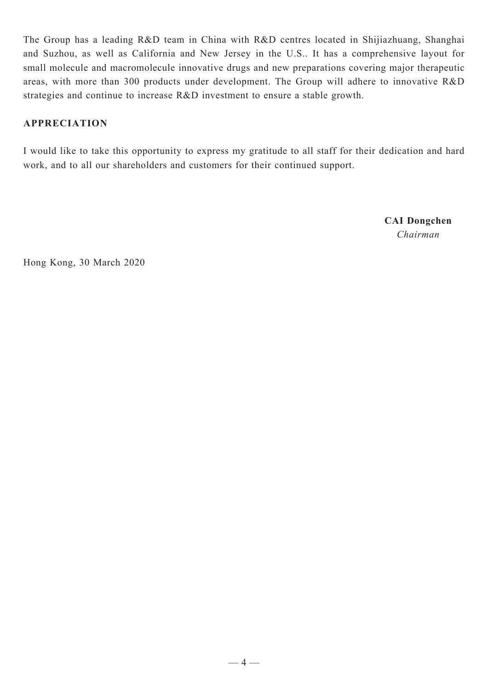The Group has a leading R&D team in China with R&D centres located in Shijiazhuang, Shanghai and Suzhou, as well as California and New Jersey in the U.S.. It has a comprehensive layout for small molecule and macromolecule innovative drugs and new preparations covering major therapeutic areas, with more than 300 products under development. The Group will adhere to innovative R&D strategies and continue to increase R&D investment to ensure a stable growth.

## **appreciation**

I would like to take this opportunity to express my gratitude to all staff for their dedication and hard work, and to all our shareholders and customers for their continued support.

> **CAI Dongchen** *Chairman*

Hong Kong, 30 March 2020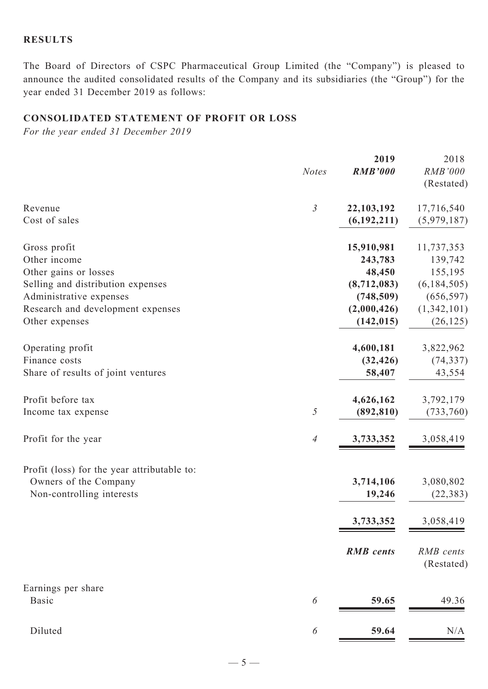### **RESULTS**

The Board of Directors of CSPC Pharmaceutical Group Limited (the "Company") is pleased to announce the audited consolidated results of the Company and its subsidiaries (the "Group") for the year ended 31 December 2019 as follows:

### **CONSOLIDATED STATEMENT OF PROFIT OR LOSS**

*For the year ended 31 December 2019*

|                                             | <b>Notes</b>             | 2019<br><b>RMB'000</b> | 2018<br><b>RMB'000</b><br>(Restated) |
|---------------------------------------------|--------------------------|------------------------|--------------------------------------|
| Revenue                                     | $\mathfrak{Z}$           | 22,103,192             | 17,716,540                           |
| Cost of sales                               |                          | (6, 192, 211)          | (5,979,187)                          |
| Gross profit                                |                          | 15,910,981             | 11,737,353                           |
| Other income                                |                          | 243,783                | 139,742                              |
| Other gains or losses                       |                          | 48,450                 | 155,195                              |
| Selling and distribution expenses           |                          | (8,712,083)            | (6, 184, 505)                        |
| Administrative expenses                     |                          | (748, 509)             | (656, 597)                           |
| Research and development expenses           |                          | (2,000,426)            | (1,342,101)                          |
| Other expenses                              |                          | (142, 015)             | (26, 125)                            |
| Operating profit                            |                          | 4,600,181              | 3,822,962                            |
| Finance costs                               |                          | (32, 426)              | (74, 337)                            |
| Share of results of joint ventures          |                          | 58,407                 | 43,554                               |
| Profit before tax                           | 5                        | 4,626,162              | 3,792,179                            |
| Income tax expense                          |                          | (892, 810)             | (733,760)                            |
| Profit for the year                         | $\overline{\mathcal{A}}$ | 3,733,352              | 3,058,419                            |
| Profit (loss) for the year attributable to: |                          | 3,714,106              | 3,080,802                            |
| Owners of the Company                       |                          | 19,246                 | (22, 383)                            |
| Non-controlling interests                   |                          | 3,733,352              | 3,058,419                            |
|                                             |                          | <b>RMB</b> cents       | RMB cents<br>(Restated)              |
| Earnings per share<br><b>Basic</b>          | 6                        | 59.65                  | 49.36                                |
| Diluted                                     | 6                        | 59.64                  | N/A                                  |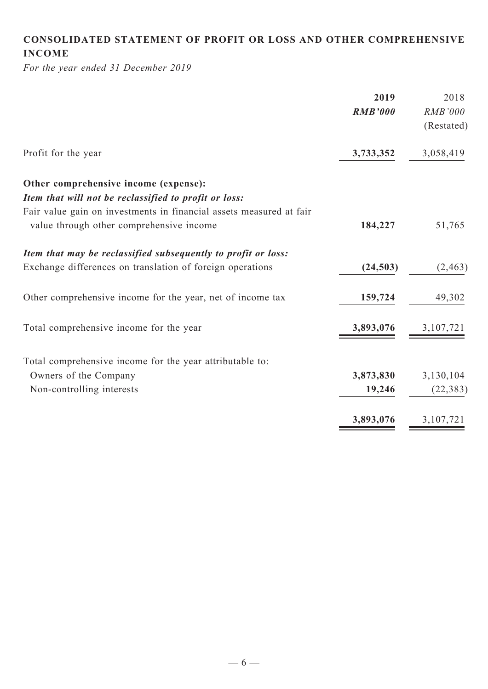# **CONSOLIDATED STATEMENT OF PROFIT OR LOSS AND OTHER COMPREHENSIVE INCOME**

*For the year ended 31 December 2019*

| <b>RMB'000</b> | <b>RMB'000</b>         |
|----------------|------------------------|
|                |                        |
|                | (Restated)             |
| 3,733,352      | 3,058,419              |
|                |                        |
|                |                        |
|                |                        |
| 184,227        | 51,765                 |
|                |                        |
| (24, 503)      | (2, 463)               |
| 159,724        | 49,302                 |
| 3,893,076      | 3,107,721              |
|                |                        |
|                | 3,130,104              |
| 19,246         | (22, 383)              |
|                | 3,107,721              |
|                | 3,873,830<br>3,893,076 |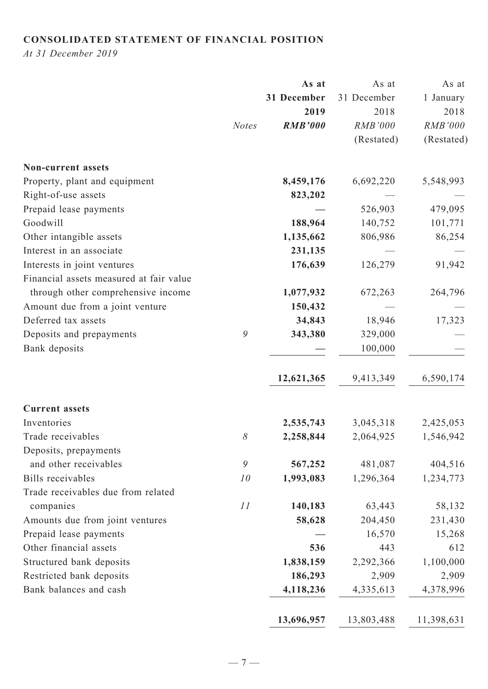## **CONSOLIDATED STATEMENT OF FINANCIAL POSITION**

*At 31 December 2019*

|                                         |               | As at          | As at          | As at      |
|-----------------------------------------|---------------|----------------|----------------|------------|
|                                         |               | 31 December    | 31 December    | 1 January  |
|                                         |               | 2019           | 2018           | 2018       |
|                                         | <b>Notes</b>  | <b>RMB'000</b> | <b>RMB'000</b> | RMB'000    |
|                                         |               |                | (Restated)     | (Restated) |
| Non-current assets                      |               |                |                |            |
| Property, plant and equipment           |               | 8,459,176      | 6,692,220      | 5,548,993  |
| Right-of-use assets                     |               | 823,202        |                |            |
| Prepaid lease payments                  |               |                | 526,903        | 479,095    |
| Goodwill                                |               | 188,964        | 140,752        | 101,771    |
| Other intangible assets                 |               | 1,135,662      | 806,986        | 86,254     |
| Interest in an associate                |               | 231,135        |                |            |
| Interests in joint ventures             |               | 176,639        | 126,279        | 91,942     |
| Financial assets measured at fair value |               |                |                |            |
| through other comprehensive income      |               | 1,077,932      | 672,263        | 264,796    |
| Amount due from a joint venture         |               | 150,432        |                |            |
| Deferred tax assets                     |               | 34,843         | 18,946         | 17,323     |
| Deposits and prepayments                | 9             | 343,380        | 329,000        |            |
| Bank deposits                           |               |                | 100,000        |            |
|                                         |               | 12,621,365     | 9,413,349      | 6,590,174  |
| <b>Current assets</b>                   |               |                |                |            |
| Inventories                             |               | 2,535,743      | 3,045,318      | 2,425,053  |
| Trade receivables                       | $\delta$      | 2,258,844      | 2,064,925      | 1,546,942  |
| Deposits, prepayments                   |               |                |                |            |
| and other receivables                   | $\mathfrak g$ | 567,252        | 481,087        | 404,516    |
| <b>Bills</b> receivables                | 10            | 1,993,083      | 1,296,364      | 1,234,773  |
| Trade receivables due from related      |               |                |                |            |
| companies                               | 11            | 140,183        | 63,443         | 58,132     |
| Amounts due from joint ventures         |               | 58,628         | 204,450        | 231,430    |
| Prepaid lease payments                  |               |                | 16,570         | 15,268     |
| Other financial assets                  |               | 536            | 443            | 612        |
| Structured bank deposits                |               | 1,838,159      | 2,292,366      | 1,100,000  |
| Restricted bank deposits                |               | 186,293        | 2,909          | 2,909      |
| Bank balances and cash                  |               | 4,118,236      | 4,335,613      | 4,378,996  |
|                                         |               | 13,696,957     | 13,803,488     | 11,398,631 |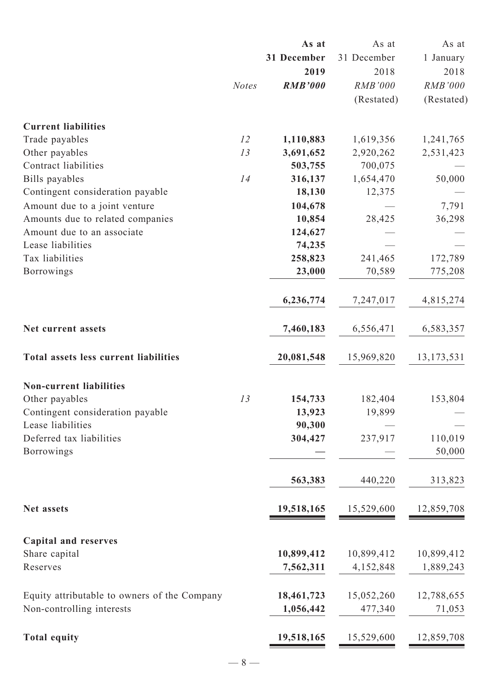|                                              | As at          | As at                   | As at                   |
|----------------------------------------------|----------------|-------------------------|-------------------------|
|                                              | 31 December    | 31 December             | 1 January               |
|                                              | 2019           | 2018                    | 2018                    |
| <b>Notes</b>                                 | <b>RMB'000</b> | <b>RMB'000</b>          | <b>RMB'000</b>          |
|                                              |                | (Restated)              | (Restated)              |
|                                              |                |                         |                         |
| 12                                           | 1,110,883      | 1,619,356               | 1,241,765               |
| 13                                           | 3,691,652      | 2,920,262               | 2,531,423               |
|                                              | 503,755        | 700,075                 |                         |
| 14                                           | 316,137        | 1,654,470               | 50,000                  |
|                                              | 18,130         | 12,375                  |                         |
|                                              | 104,678        |                         | 7,791                   |
|                                              | 10,854         | 28,425                  | 36,298                  |
|                                              | 124,627        |                         |                         |
|                                              | 74,235         |                         |                         |
|                                              | 258,823        | 241,465                 | 172,789                 |
|                                              | 23,000         | 70,589                  | 775,208                 |
|                                              | 6,236,774      | 7,247,017               | 4,815,274               |
|                                              | 7,460,183      | 6,556,471               | 6,583,357               |
|                                              | 20,081,548     | 15,969,820              | 13, 173, 531            |
|                                              |                |                         |                         |
| 13                                           | 154,733        | 182,404                 | 153,804                 |
|                                              | 13,923         | 19,899                  |                         |
|                                              | 90,300         |                         |                         |
|                                              | 304,427        | 237,917                 | 110,019                 |
|                                              |                |                         | 50,000                  |
|                                              | 563,383        | 440,220                 | 313,823                 |
|                                              | 19,518,165     | 15,529,600              | 12,859,708              |
|                                              |                |                         |                         |
|                                              |                |                         |                         |
|                                              |                |                         | 10,899,412              |
|                                              |                |                         | 1,889,243               |
| Equity attributable to owners of the Company | 18,461,723     | 15,052,260              | 12,788,655              |
|                                              | 1,056,442      | 477,340                 | 71,053                  |
|                                              | 19,518,165     | 15,529,600              | 12,859,708              |
|                                              |                | 10,899,412<br>7,562,311 | 10,899,412<br>4,152,848 |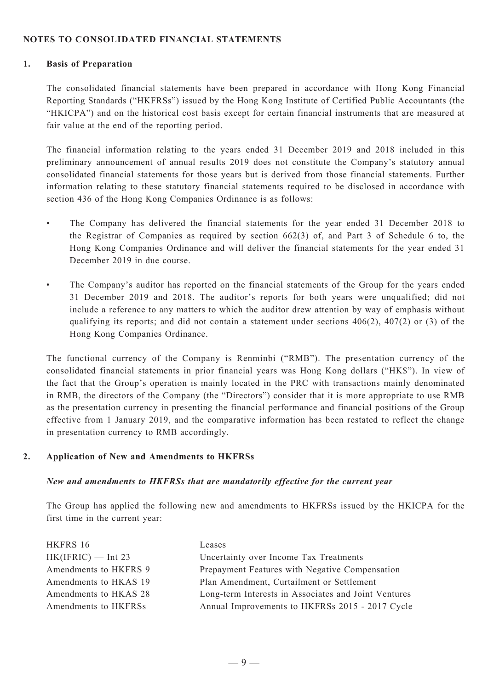#### **NOTES TO consolidated FINANCIAL STATEMENTS**

#### **1. Basis of Preparation**

The consolidated financial statements have been prepared in accordance with Hong Kong Financial Reporting Standards ("HKFRSs") issued by the Hong Kong Institute of Certified Public Accountants (the "HKICPA") and on the historical cost basis except for certain financial instruments that are measured at fair value at the end of the reporting period.

The financial information relating to the years ended 31 December 2019 and 2018 included in this preliminary announcement of annual results 2019 does not constitute the Company's statutory annual consolidated financial statements for those years but is derived from those financial statements. Further information relating to these statutory financial statements required to be disclosed in accordance with section 436 of the Hong Kong Companies Ordinance is as follows:

- The Company has delivered the financial statements for the year ended 31 December 2018 to the Registrar of Companies as required by section 662(3) of, and Part 3 of Schedule 6 to, the Hong Kong Companies Ordinance and will deliver the financial statements for the year ended 31 December 2019 in due course.
- The Company's auditor has reported on the financial statements of the Group for the years ended 31 December 2019 and 2018. The auditor's reports for both years were unqualified; did not include a reference to any matters to which the auditor drew attention by way of emphasis without qualifying its reports; and did not contain a statement under sections  $406(2)$ ,  $407(2)$  or (3) of the Hong Kong Companies Ordinance.

The functional currency of the Company is Renminbi ("RMB"). The presentation currency of the consolidated financial statements in prior financial years was Hong Kong dollars ("HK\$"). In view of the fact that the Group's operation is mainly located in the PRC with transactions mainly denominated in RMB, the directors of the Company (the "Directors") consider that it is more appropriate to use RMB as the presentation currency in presenting the financial performance and financial positions of the Group effective from 1 January 2019, and the comparative information has been restated to reflect the change in presentation currency to RMB accordingly.

#### **2. Application of New and Amendments to HKFRSs**

#### *New and amendments to HKFRSs that are mandatorily effective for the current year*

The Group has applied the following new and amendments to HKFRSs issued by the HKICPA for the first time in the current year:

| HKFRS 16              | Leases                                               |
|-----------------------|------------------------------------------------------|
| $HK(IFRIC)$ — Int 23  | Uncertainty over Income Tax Treatments               |
| Amendments to HKFRS 9 | Prepayment Features with Negative Compensation       |
| Amendments to HKAS 19 | Plan Amendment, Curtailment or Settlement            |
| Amendments to HKAS 28 | Long-term Interests in Associates and Joint Ventures |
| Amendments to HKFRSs  | Annual Improvements to HKFRSs 2015 - 2017 Cycle      |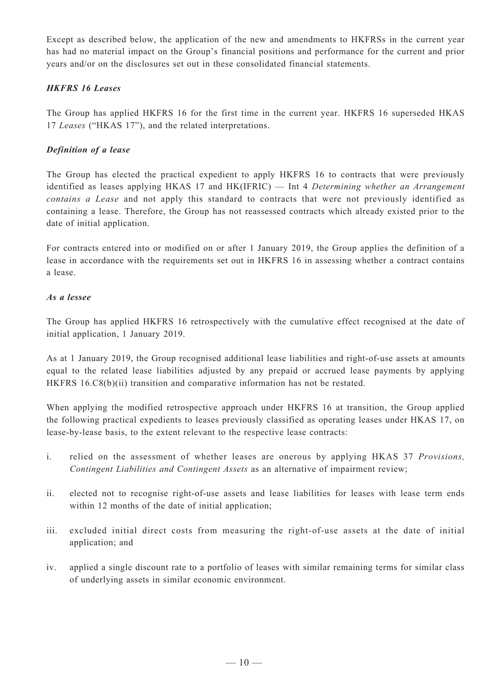Except as described below, the application of the new and amendments to HKFRSs in the current year has had no material impact on the Group's financial positions and performance for the current and prior years and/or on the disclosures set out in these consolidated financial statements.

### *HKFRS 16 Leases*

The Group has applied HKFRS 16 for the first time in the current year. HKFRS 16 superseded HKAS 17 *Leases* ("HKAS 17"), and the related interpretations.

#### *Definition of a lease*

The Group has elected the practical expedient to apply HKFRS 16 to contracts that were previously identified as leases applying HKAS 17 and HK(IFRIC) — Int 4 *Determining whether an Arrangement contains a Lease* and not apply this standard to contracts that were not previously identified as containing a lease. Therefore, the Group has not reassessed contracts which already existed prior to the date of initial application.

For contracts entered into or modified on or after 1 January 2019, the Group applies the definition of a lease in accordance with the requirements set out in HKFRS 16 in assessing whether a contract contains a lease.

### *As a lessee*

The Group has applied HKFRS 16 retrospectively with the cumulative effect recognised at the date of initial application, 1 January 2019.

As at 1 January 2019, the Group recognised additional lease liabilities and right-of-use assets at amounts equal to the related lease liabilities adjusted by any prepaid or accrued lease payments by applying HKFRS 16.C8(b)(ii) transition and comparative information has not be restated.

When applying the modified retrospective approach under HKFRS 16 at transition, the Group applied the following practical expedients to leases previously classified as operating leases under HKAS 17, on lease-by-lease basis, to the extent relevant to the respective lease contracts:

- i. relied on the assessment of whether leases are onerous by applying HKAS 37 *Provisions, Contingent Liabilities and Contingent Assets* as an alternative of impairment review;
- ii. elected not to recognise right-of-use assets and lease liabilities for leases with lease term ends within 12 months of the date of initial application;
- iii. excluded initial direct costs from measuring the right-of-use assets at the date of initial application; and
- iv. applied a single discount rate to a portfolio of leases with similar remaining terms for similar class of underlying assets in similar economic environment.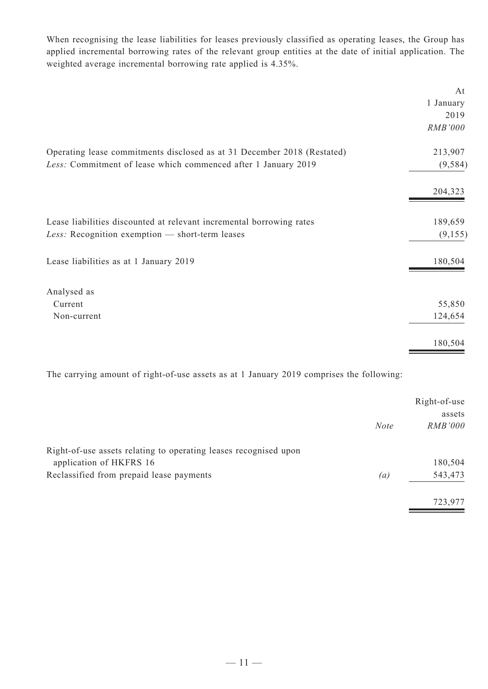When recognising the lease liabilities for leases previously classified as operating leases, the Group has applied incremental borrowing rates of the relevant group entities at the date of initial application. The weighted average incremental borrowing rate applied is 4.35%.

|                                                                                                                                           | At<br>1 January<br>2019<br>RMB'000 |
|-------------------------------------------------------------------------------------------------------------------------------------------|------------------------------------|
| Operating lease commitments disclosed as at 31 December 2018 (Restated)<br>Less: Commitment of lease which commenced after 1 January 2019 | 213,907<br>(9, 584)                |
|                                                                                                                                           | 204,323                            |
| Lease liabilities discounted at relevant incremental borrowing rates<br>Less: Recognition exemption - short-term leases                   | 189,659<br>(9,155)                 |
| Lease liabilities as at 1 January 2019                                                                                                    | 180,504                            |
| Analysed as                                                                                                                               |                                    |
| Current                                                                                                                                   | 55,850                             |
| Non-current                                                                                                                               | 124,654                            |
|                                                                                                                                           | 180,504                            |

The carrying amount of right-of-use assets as at 1 January 2019 comprises the following:

|                                                                  |                   | Right-of-use   |
|------------------------------------------------------------------|-------------------|----------------|
|                                                                  |                   | assets         |
|                                                                  | <b>Note</b>       | <b>RMB'000</b> |
| Right-of-use assets relating to operating leases recognised upon |                   |                |
| application of HKFRS 16                                          |                   | 180,504        |
| Reclassified from prepaid lease payments                         | $\left( a\right)$ | 543,473        |
|                                                                  |                   | 723,977        |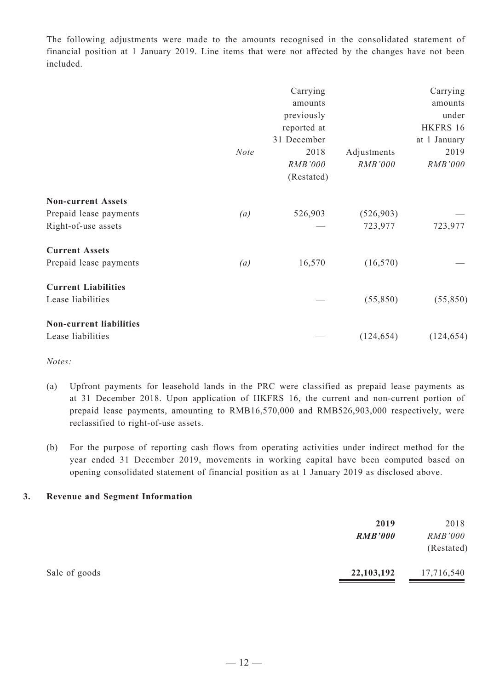The following adjustments were made to the amounts recognised in the consolidated statement of financial position at 1 January 2019. Line items that were not affected by the changes have not been included.

|                                |             | Carrying    |                | Carrying     |
|--------------------------------|-------------|-------------|----------------|--------------|
|                                |             | amounts     |                | amounts      |
|                                |             | previously  |                | under        |
|                                |             | reported at |                | HKFRS 16     |
|                                |             | 31 December |                | at 1 January |
|                                | <b>Note</b> | 2018        | Adjustments    | 2019         |
|                                |             | RMB'000     | <b>RMB'000</b> | RMB'000      |
|                                |             | (Restated)  |                |              |
| <b>Non-current Assets</b>      |             |             |                |              |
| Prepaid lease payments         | (a)         | 526,903     | (526, 903)     |              |
| Right-of-use assets            |             |             | 723,977        | 723,977      |
| <b>Current Assets</b>          |             |             |                |              |
| Prepaid lease payments         | (a)         | 16,570      | (16, 570)      |              |
| <b>Current Liabilities</b>     |             |             |                |              |
| Lease liabilities              |             |             | (55, 850)      | (55, 850)    |
| <b>Non-current liabilities</b> |             |             |                |              |
| Lease liabilities              |             |             | (124, 654)     | (124, 654)   |

*Notes:*

- (a) Upfront payments for leasehold lands in the PRC were classified as prepaid lease payments as at 31 December 2018. Upon application of HKFRS 16, the current and non-current portion of prepaid lease payments, amounting to RMB16,570,000 and RMB526,903,000 respectively, were reclassified to right-of-use assets.
- (b) For the purpose of reporting cash flows from operating activities under indirect method for the year ended 31 December 2019, movements in working capital have been computed based on opening consolidated statement of financial position as at 1 January 2019 as disclosed above.

### **3. Revenue and Segment Information**

|               | 2019<br><b>RMB'000</b> | 2018<br><i>RMB'000</i><br>(Restated) |
|---------------|------------------------|--------------------------------------|
| Sale of goods | 22,103,192             | 17,716,540                           |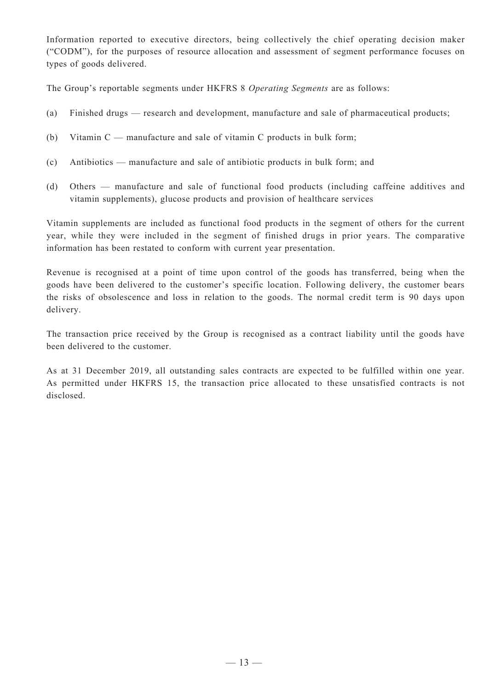Information reported to executive directors, being collectively the chief operating decision maker ("CODM"), for the purposes of resource allocation and assessment of segment performance focuses on types of goods delivered.

The Group's reportable segments under HKFRS 8 *Operating Segments* are as follows:

- (a) Finished drugs research and development, manufacture and sale of pharmaceutical products;
- (b) Vitamin C manufacture and sale of vitamin C products in bulk form;
- (c) Antibiotics manufacture and sale of antibiotic products in bulk form; and
- (d) Others manufacture and sale of functional food products (including caffeine additives and vitamin supplements), glucose products and provision of healthcare services

Vitamin supplements are included as functional food products in the segment of others for the current year, while they were included in the segment of finished drugs in prior years. The comparative information has been restated to conform with current year presentation.

Revenue is recognised at a point of time upon control of the goods has transferred, being when the goods have been delivered to the customer's specific location. Following delivery, the customer bears the risks of obsolescence and loss in relation to the goods. The normal credit term is 90 days upon delivery.

The transaction price received by the Group is recognised as a contract liability until the goods have been delivered to the customer.

As at 31 December 2019, all outstanding sales contracts are expected to be fulfilled within one year. As permitted under HKFRS 15, the transaction price allocated to these unsatisfied contracts is not disclosed.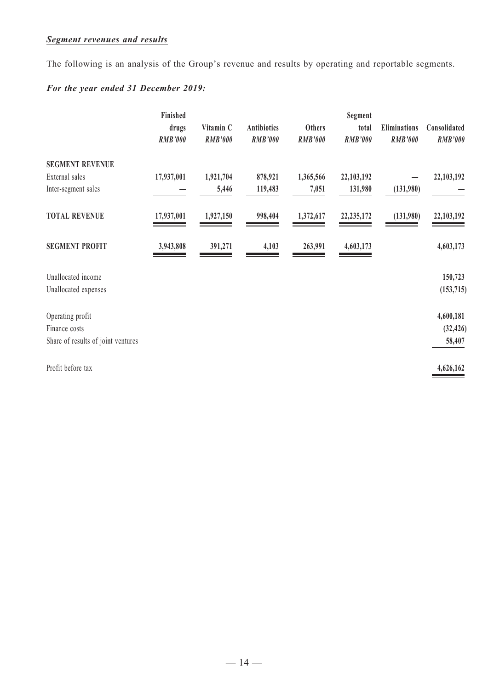## *Segment revenues and results*

The following is an analysis of the Group's revenue and results by operating and reportable segments.

## *For the year ended 31 December 2019:*

|                                    | Finished       |                |                    |                | Segment        |                     |                |
|------------------------------------|----------------|----------------|--------------------|----------------|----------------|---------------------|----------------|
|                                    | drugs          | Vitamin C      | <b>Antibiotics</b> | <b>Others</b>  | total          | <b>Eliminations</b> | Consolidated   |
|                                    | <b>RMB'000</b> | <b>RMB'000</b> | <b>RMB'000</b>     | <b>RMB'000</b> | <b>RMB'000</b> | <b>RMB'000</b>      | <b>RMB'000</b> |
| <b>SEGMENT REVENUE</b>             |                |                |                    |                |                |                     |                |
| External sales                     | 17,937,001     | 1,921,704      | 878,921            | 1,365,566      | 22,103,192     |                     | 22,103,192     |
| Inter-segment sales                |                | 5,446          | 119,483            | 7,051          | 131,980        | (131,980)           |                |
| <b>TOTAL REVENUE</b>               | 17,937,001     | 1,927,150      | 998,404            | 1,372,617      | 22, 235, 172   | (131,980)           | 22,103,192     |
| <b>SEGMENT PROFIT</b>              | 3,943,808      | 391,271        | 4,103              | 263,991        | 4,603,173      |                     | 4,603,173      |
| Unallocated income                 |                |                |                    |                |                |                     | 150,723        |
| Unallocated expenses               |                |                |                    |                |                |                     | (153, 715)     |
| Operating profit                   |                |                |                    |                |                |                     | 4,600,181      |
| Finance costs                      |                |                |                    |                |                |                     | (32, 426)      |
| Share of results of joint ventures |                |                |                    |                |                |                     | 58,407         |
| Profit before tax                  |                |                |                    |                |                |                     | 4,626,162      |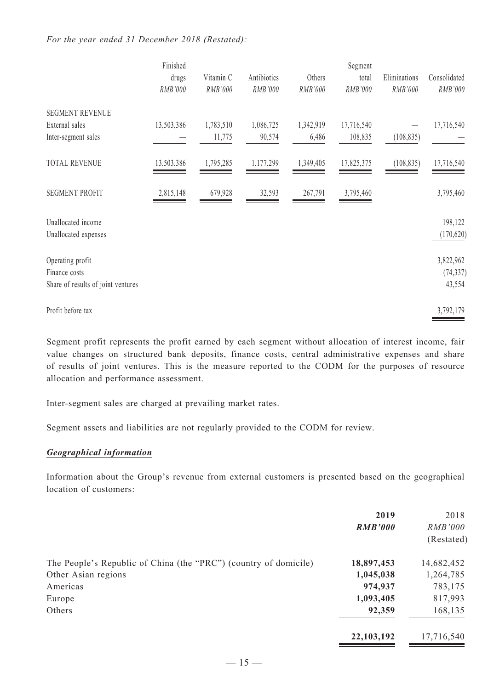#### *For the year ended 31 December 2018 (Restated):*

|                                    | Finished   |           |             |           | Segment    |              |              |
|------------------------------------|------------|-----------|-------------|-----------|------------|--------------|--------------|
|                                    | drugs      | Vitamin C | Antibiotics | Others    | total      | Eliminations | Consolidated |
|                                    | RMB'000    | RMB'000   | RMB'000     | RMB'000   | RMB'000    | RMB'000      | RMB'000      |
| <b>SEGMENT REVENUE</b>             |            |           |             |           |            |              |              |
| External sales                     | 13,503,386 | 1,783,510 | 1,086,725   | 1,342,919 | 17,716,540 |              | 17,716,540   |
| Inter-segment sales                |            | 11,775    | 90,574      | 6,486     | 108,835    | (108, 835)   |              |
| <b>TOTAL REVENUE</b>               | 13,503,386 | 1,795,285 | 1,177,299   | 1,349,405 | 17,825,375 | (108, 835)   | 17,716,540   |
| <b>SEGMENT PROFIT</b>              | 2,815,148  | 679,928   | 32,593      | 267,791   | 3,795,460  |              | 3,795,460    |
| Unallocated income                 |            |           |             |           |            |              | 198,122      |
| Unallocated expenses               |            |           |             |           |            |              | (170, 620)   |
| Operating profit                   |            |           |             |           |            |              | 3,822,962    |
| Finance costs                      |            |           |             |           |            |              | (74, 337)    |
| Share of results of joint ventures |            |           |             |           |            |              | 43,554       |
| Profit before tax                  |            |           |             |           |            |              | 3,792,179    |

Segment profit represents the profit earned by each segment without allocation of interest income, fair value changes on structured bank deposits, finance costs, central administrative expenses and share of results of joint ventures. This is the measure reported to the CODM for the purposes of resource allocation and performance assessment.

Inter-segment sales are charged at prevailing market rates.

Segment assets and liabilities are not regularly provided to the CODM for review.

#### *Geographical information*

Information about the Group's revenue from external customers is presented based on the geographical location of customers:

|                                                                  | 2019           | 2018       |
|------------------------------------------------------------------|----------------|------------|
|                                                                  | <b>RMB'000</b> | RMB'000    |
|                                                                  |                | (Restated) |
| The People's Republic of China (the "PRC") (country of domicile) | 18,897,453     | 14,682,452 |
| Other Asian regions                                              | 1,045,038      | 1,264,785  |
| Americas                                                         | 974,937        | 783,175    |
| Europe                                                           | 1,093,405      | 817,993    |
| Others                                                           | 92,359         | 168,135    |
|                                                                  | 22,103,192     | 17,716,540 |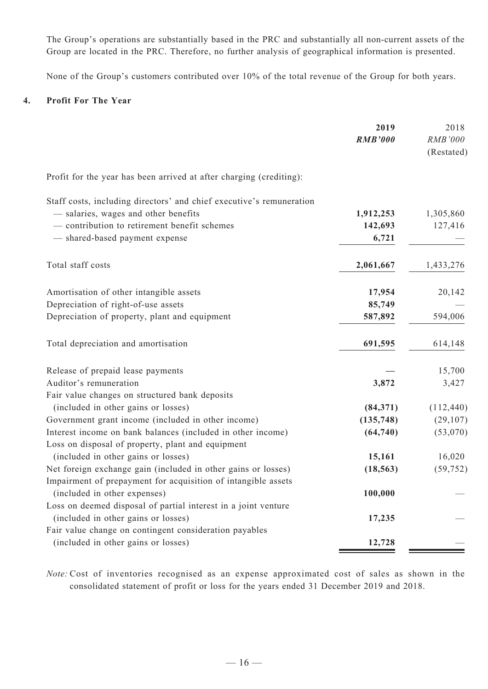The Group's operations are substantially based in the PRC and substantially all non-current assets of the Group are located in the PRC. Therefore, no further analysis of geographical information is presented.

None of the Group's customers contributed over 10% of the total revenue of the Group for both years.

#### **4. Profit For The Year**

|                                                                      | 2019           | 2018       |
|----------------------------------------------------------------------|----------------|------------|
|                                                                      | <b>RMB'000</b> | RMB'000    |
|                                                                      |                | (Restated) |
| Profit for the year has been arrived at after charging (crediting):  |                |            |
| Staff costs, including directors' and chief executive's remuneration |                |            |
| - salaries, wages and other benefits                                 | 1,912,253      | 1,305,860  |
| - contribution to retirement benefit schemes                         | 142,693        | 127,416    |
| - shared-based payment expense                                       | 6,721          |            |
| Total staff costs                                                    | 2,061,667      | 1,433,276  |
| Amortisation of other intangible assets                              | 17,954         | 20,142     |
| Depreciation of right-of-use assets                                  | 85,749         |            |
| Depreciation of property, plant and equipment                        | 587,892        | 594,006    |
| Total depreciation and amortisation                                  | 691,595        | 614,148    |
| Release of prepaid lease payments                                    |                | 15,700     |
| Auditor's remuneration                                               | 3,872          | 3,427      |
| Fair value changes on structured bank deposits                       |                |            |
| (included in other gains or losses)                                  | (84, 371)      | (112, 440) |
| Government grant income (included in other income)                   | (135, 748)     | (29, 107)  |
| Interest income on bank balances (included in other income)          | (64, 740)      | (53,070)   |
| Loss on disposal of property, plant and equipment                    |                |            |
| (included in other gains or losses)                                  | 15,161         | 16,020     |
| Net foreign exchange gain (included in other gains or losses)        | (18, 563)      | (59, 752)  |
| Impairment of prepayment for acquisition of intangible assets        |                |            |
| (included in other expenses)                                         | 100,000        |            |
| Loss on deemed disposal of partial interest in a joint venture       |                |            |
| (included in other gains or losses)                                  | 17,235         |            |
| Fair value change on contingent consideration payables               |                |            |
| (included in other gains or losses)                                  | 12,728         |            |

*Note:* Cost of inventories recognised as an expense approximated cost of sales as shown in the consolidated statement of profit or loss for the years ended 31 December 2019 and 2018.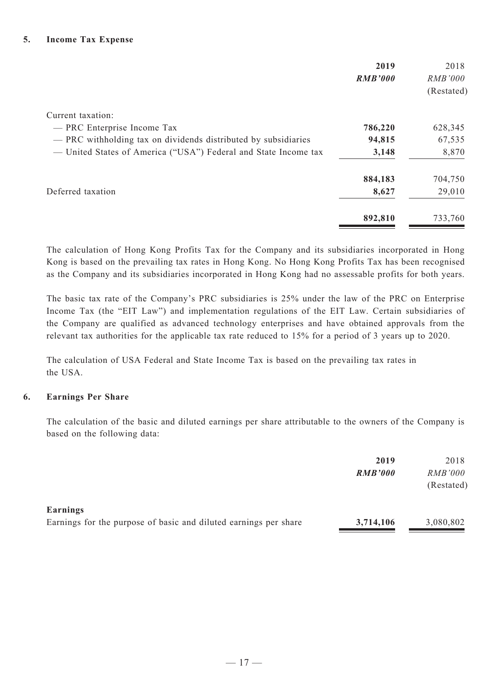|                                                                 | 2019<br><b>RMB'000</b> | 2018<br><i>RMB'000</i><br>(Restated) |
|-----------------------------------------------------------------|------------------------|--------------------------------------|
| Current taxation:                                               |                        |                                      |
| - PRC Enterprise Income Tax                                     | 786,220                | 628,345                              |
| - PRC withholding tax on dividends distributed by subsidiaries  | 94,815                 | 67,535                               |
| — United States of America ("USA") Federal and State Income tax | 3,148                  | 8,870                                |
|                                                                 | 884,183                | 704,750                              |
| Deferred taxation                                               | 8,627                  | 29,010                               |
|                                                                 | 892,810                | 733,760                              |

The calculation of Hong Kong Profits Tax for the Company and its subsidiaries incorporated in Hong Kong is based on the prevailing tax rates in Hong Kong. No Hong Kong Profits Tax has been recognised as the Company and its subsidiaries incorporated in Hong Kong had no assessable profits for both years.

The basic tax rate of the Company's PRC subsidiaries is 25% under the law of the PRC on Enterprise Income Tax (the "EIT Law") and implementation regulations of the EIT Law. Certain subsidiaries of the Company are qualified as advanced technology enterprises and have obtained approvals from the relevant tax authorities for the applicable tax rate reduced to 15% for a period of 3 years up to 2020.

The calculation of USA Federal and State Income Tax is based on the prevailing tax rates in the USA.

#### **6. Earnings Per Share**

The calculation of the basic and diluted earnings per share attributable to the owners of the Company is based on the following data:

|                                                                  | 2019           | 2018           |
|------------------------------------------------------------------|----------------|----------------|
|                                                                  | <b>RMB'000</b> | <i>RMB'000</i> |
|                                                                  |                | (Restated)     |
| Earnings                                                         |                |                |
| Earnings for the purpose of basic and diluted earnings per share | 3,714,106      | 3,080,802      |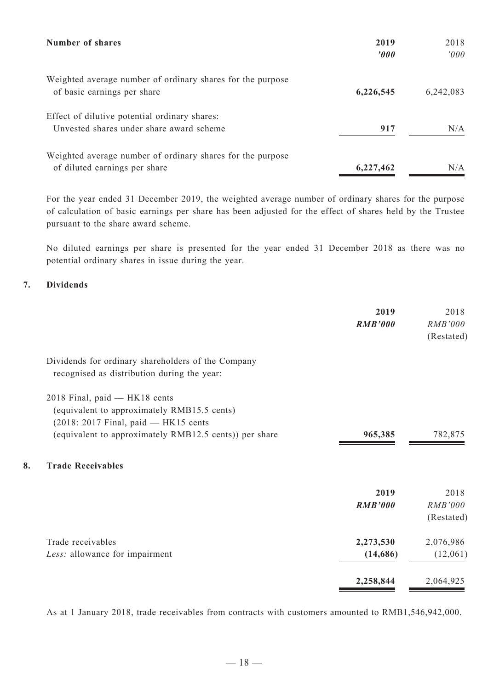| Number of shares                                                                            | 2019<br>2000 | 2018<br>2000 |
|---------------------------------------------------------------------------------------------|--------------|--------------|
| Weighted average number of ordinary shares for the purpose<br>of basic earnings per share   | 6,226,545    | 6,242,083    |
| Effect of dilutive potential ordinary shares:<br>Unvested shares under share award scheme   | 917          | N/A          |
| Weighted average number of ordinary shares for the purpose<br>of diluted earnings per share | 6,227,462    | N/A          |

For the year ended 31 December 2019, the weighted average number of ordinary shares for the purpose of calculation of basic earnings per share has been adjusted for the effect of shares held by the Trustee pursuant to the share award scheme.

No diluted earnings per share is presented for the year ended 31 December 2018 as there was no potential ordinary shares in issue during the year.

### **7. Dividends**

|    |                                                                                                                          | 2019<br><b>RMB'000</b> | 2018<br>RMB'000<br>(Restated) |
|----|--------------------------------------------------------------------------------------------------------------------------|------------------------|-------------------------------|
|    | Dividends for ordinary shareholders of the Company<br>recognised as distribution during the year:                        |                        |                               |
|    | 2018 Final, paid - HK18 cents<br>(equivalent to approximately RMB15.5 cents)<br>$(2018: 2017$ Final, paid $-$ HK15 cents |                        |                               |
|    | (equivalent to approximately RMB12.5 cents)) per share                                                                   | 965,385                | 782,875                       |
| 8. | <b>Trade Receivables</b>                                                                                                 |                        |                               |
|    |                                                                                                                          | 2019                   | 2018                          |
|    |                                                                                                                          | <b>RMB'000</b>         | <b>RMB'000</b><br>(Restated)  |
|    | Trade receivables                                                                                                        | 2,273,530              | 2,076,986                     |
|    | Less: allowance for impairment                                                                                           | (14,686)               | (12,061)                      |
|    |                                                                                                                          | 2,258,844              | 2,064,925                     |
|    |                                                                                                                          |                        |                               |

As at 1 January 2018, trade receivables from contracts with customers amounted to RMB1,546,942,000.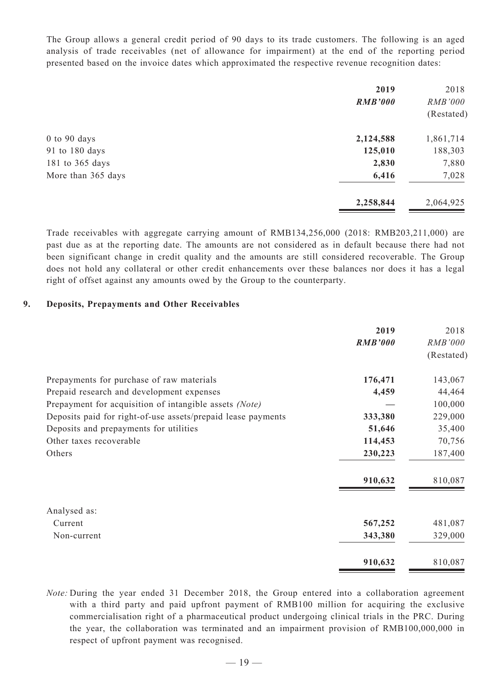The Group allows a general credit period of 90 days to its trade customers. The following is an aged analysis of trade receivables (net of allowance for impairment) at the end of the reporting period presented based on the invoice dates which approximated the respective revenue recognition dates:

|                    | 2019<br><b>RMB'000</b> | 2018<br>RMB'000 |
|--------------------|------------------------|-----------------|
|                    |                        | (Restated)      |
| $0$ to $90$ days   | 2,124,588              | 1,861,714       |
| 91 to 180 days     | 125,010                | 188,303         |
| 181 to 365 days    | 2,830                  | 7,880           |
| More than 365 days | 6,416                  | 7,028           |
|                    | 2,258,844              | 2,064,925       |

Trade receivables with aggregate carrying amount of RMB134,256,000 (2018: RMB203,211,000) are past due as at the reporting date. The amounts are not considered as in default because there had not been significant change in credit quality and the amounts are still considered recoverable. The Group does not hold any collateral or other credit enhancements over these balances nor does it has a legal right of offset against any amounts owed by the Group to the counterparty.

#### **9. Deposits, Prepayments and Other Receivables**

|                                                              | 2019           | 2018           |
|--------------------------------------------------------------|----------------|----------------|
|                                                              | <b>RMB'000</b> | <i>RMB'000</i> |
|                                                              |                | (Restated)     |
| Prepayments for purchase of raw materials                    | 176,471        | 143,067        |
| Prepaid research and development expenses                    | 4,459          | 44,464         |
| Prepayment for acquisition of intangible assets (Note)       |                | 100,000        |
| Deposits paid for right-of-use assets/prepaid lease payments | 333,380        | 229,000        |
| Deposits and prepayments for utilities                       | 51,646         | 35,400         |
| Other taxes recoverable                                      | 114,453        | 70,756         |
| Others                                                       | 230,223        | 187,400        |
|                                                              | 910,632        | 810,087        |
| Analysed as:                                                 |                |                |
| Current                                                      | 567,252        | 481,087        |
| Non-current                                                  | 343,380        | 329,000        |
|                                                              | 910,632        | 810,087        |

*Note:* During the year ended 31 December 2018, the Group entered into a collaboration agreement with a third party and paid upfront payment of RMB100 million for acquiring the exclusive commercialisation right of a pharmaceutical product undergoing clinical trials in the PRC. During the year, the collaboration was terminated and an impairment provision of RMB100,000,000 in respect of upfront payment was recognised.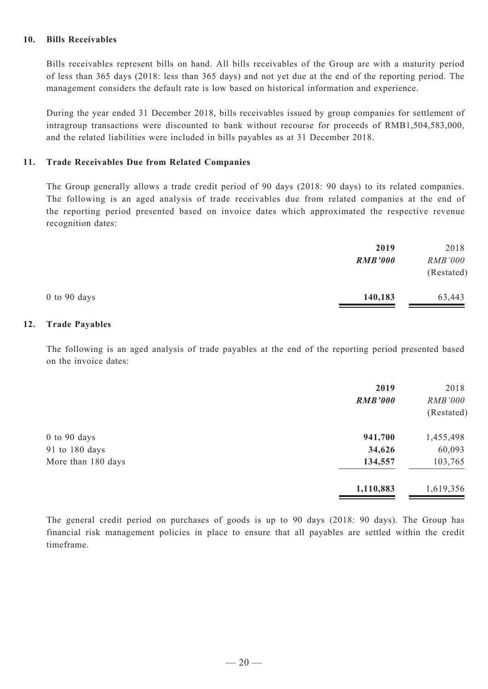#### **10. Bills Receivables**

Bills receivables represent bills on hand. All bills receivables of the Group are with a maturity period of less than 365 days (2018: less than 365 days) and not yet due at the end of the reporting period. The management considers the default rate is low based on historical information and experience.

During the year ended 31 December 2018, bills receivables issued by group companies for settlement of intragroup transactions were discounted to bank without recourse for proceeds of RMB1,504,583,000, and the related liabilities were included in bills payables as at 31 December 2018.

#### **11. Trade Receivables Due from Related Companies**

The Group generally allows a trade credit period of 90 days (2018: 90 days) to its related companies. The following is an aged analysis of trade receivables due from related companies at the end of the reporting period presented based on invoice dates which approximated the respective revenue recognition dates:

|                | 2019           | 2018           |
|----------------|----------------|----------------|
|                | <b>RMB'000</b> | <i>RMB'000</i> |
|                |                | (Restated)     |
| $0$ to 90 days | 140,183        | 63,443         |

#### **12. Trade Payables**

The following is an aged analysis of trade payables at the end of the reporting period presented based on the invoice dates:

|                    | 2019<br><b>RMB'000</b> | 2018<br>RMB'000<br>(Restated) |
|--------------------|------------------------|-------------------------------|
| $0$ to $90$ days   | 941,700                | 1,455,498                     |
| 91 to 180 days     | 34,626                 | 60,093                        |
| More than 180 days | 134,557                | 103,765                       |
|                    | 1,110,883              | 1,619,356                     |

The general credit period on purchases of goods is up to 90 days (2018: 90 days). The Group has financial risk management policies in place to ensure that all payables are settled within the credit timeframe.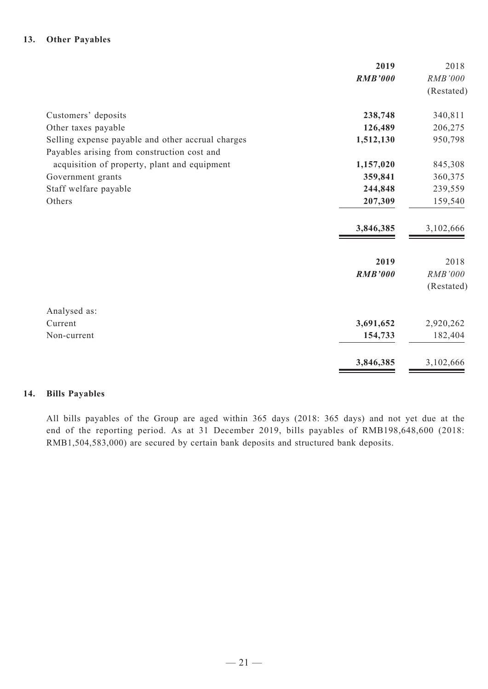#### **13. Other Payables**

|                                                   | 2019           | 2018       |
|---------------------------------------------------|----------------|------------|
|                                                   | <b>RMB'000</b> | RMB'000    |
|                                                   |                | (Restated) |
| Customers' deposits                               | 238,748        | 340,811    |
| Other taxes payable                               | 126,489        | 206,275    |
| Selling expense payable and other accrual charges | 1,512,130      | 950,798    |
| Payables arising from construction cost and       |                |            |
| acquisition of property, plant and equipment      | 1,157,020      | 845,308    |
| Government grants                                 | 359,841        | 360,375    |
| Staff welfare payable                             | 244,848        | 239,559    |
| Others                                            | 207,309        | 159,540    |
|                                                   | 3,846,385      | 3,102,666  |
|                                                   | 2019           | 2018       |
|                                                   | <b>RMB'000</b> | RMB'000    |
|                                                   |                | (Restated) |
| Analysed as:                                      |                |            |
| Current                                           | 3,691,652      | 2,920,262  |
| Non-current                                       | 154,733        | 182,404    |
|                                                   | 3,846,385      | 3,102,666  |

#### **14. Bills Payables**

All bills payables of the Group are aged within 365 days (2018: 365 days) and not yet due at the end of the reporting period. As at 31 December 2019, bills payables of RMB198,648,600 (2018: RMB1,504,583,000) are secured by certain bank deposits and structured bank deposits.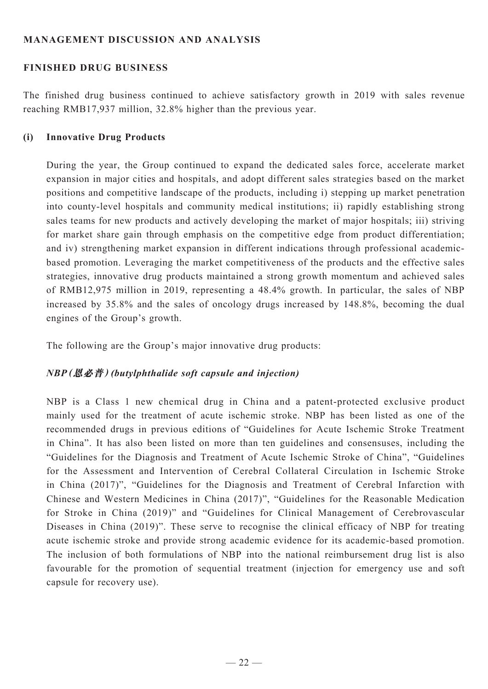## **MANAGEMENT DISCUSSION AND ANALYSIS**

## **Finished Drug Business**

The finished drug business continued to achieve satisfactory growth in 2019 with sales revenue reaching RMB17,937 million, 32.8% higher than the previous year.

### **(i) Innovative Drug Products**

During the year, the Group continued to expand the dedicated sales force, accelerate market expansion in major cities and hospitals, and adopt different sales strategies based on the market positions and competitive landscape of the products, including i) stepping up market penetration into county-level hospitals and community medical institutions; ii) rapidly establishing strong sales teams for new products and actively developing the market of major hospitals; iii) striving for market share gain through emphasis on the competitive edge from product differentiation; and iv) strengthening market expansion in different indications through professional academicbased promotion. Leveraging the market competitiveness of the products and the effective sales strategies, innovative drug products maintained a strong growth momentum and achieved sales of RMB12,975 million in 2019, representing a 48.4% growth. In particular, the sales of NBP increased by 35.8% and the sales of oncology drugs increased by 148.8%, becoming the dual engines of the Group's growth.

The following are the Group's major innovative drug products:

## *NBP***(恩必普)***(butylphthalide soft capsule and injection)*

NBP is a Class 1 new chemical drug in China and a patent-protected exclusive product mainly used for the treatment of acute ischemic stroke. NBP has been listed as one of the recommended drugs in previous editions of "Guidelines for Acute Ischemic Stroke Treatment in China". It has also been listed on more than ten guidelines and consensuses, including the "Guidelines for the Diagnosis and Treatment of Acute Ischemic Stroke of China", "Guidelines for the Assessment and Intervention of Cerebral Collateral Circulation in Ischemic Stroke in China (2017)", "Guidelines for the Diagnosis and Treatment of Cerebral Infarction with Chinese and Western Medicines in China (2017)", "Guidelines for the Reasonable Medication for Stroke in China (2019)" and "Guidelines for Clinical Management of Cerebrovascular Diseases in China (2019)". These serve to recognise the clinical efficacy of NBP for treating acute ischemic stroke and provide strong academic evidence for its academic-based promotion. The inclusion of both formulations of NBP into the national reimbursement drug list is also favourable for the promotion of sequential treatment (injection for emergency use and soft capsule for recovery use).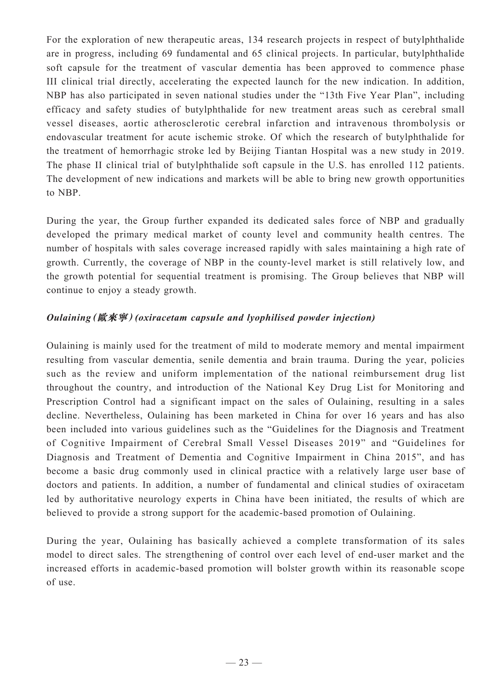For the exploration of new therapeutic areas, 134 research projects in respect of butylphthalide are in progress, including 69 fundamental and 65 clinical projects. In particular, butylphthalide soft capsule for the treatment of vascular dementia has been approved to commence phase III clinical trial directly, accelerating the expected launch for the new indication. In addition, NBP has also participated in seven national studies under the "13th Five Year Plan", including efficacy and safety studies of butylphthalide for new treatment areas such as cerebral small vessel diseases, aortic atherosclerotic cerebral infarction and intravenous thrombolysis or endovascular treatment for acute ischemic stroke. Of which the research of butylphthalide for the treatment of hemorrhagic stroke led by Beijing Tiantan Hospital was a new study in 2019. The phase II clinical trial of butylphthalide soft capsule in the U.S. has enrolled 112 patients. The development of new indications and markets will be able to bring new growth opportunities to NBP.

During the year, the Group further expanded its dedicated sales force of NBP and gradually developed the primary medical market of county level and community health centres. The number of hospitals with sales coverage increased rapidly with sales maintaining a high rate of growth. Currently, the coverage of NBP in the county-level market is still relatively low, and the growth potential for sequential treatment is promising. The Group believes that NBP will continue to enjoy a steady growth.

## *Oulaining***(歐來寧)***(oxiracetam capsule and lyophilised powder injection)*

Oulaining is mainly used for the treatment of mild to moderate memory and mental impairment resulting from vascular dementia, senile dementia and brain trauma. During the year, policies such as the review and uniform implementation of the national reimbursement drug list throughout the country, and introduction of the National Key Drug List for Monitoring and Prescription Control had a significant impact on the sales of Oulaining, resulting in a sales decline. Nevertheless, Oulaining has been marketed in China for over 16 years and has also been included into various guidelines such as the "Guidelines for the Diagnosis and Treatment of Cognitive Impairment of Cerebral Small Vessel Diseases 2019" and "Guidelines for Diagnosis and Treatment of Dementia and Cognitive Impairment in China 2015", and has become a basic drug commonly used in clinical practice with a relatively large user base of doctors and patients. In addition, a number of fundamental and clinical studies of oxiracetam led by authoritative neurology experts in China have been initiated, the results of which are believed to provide a strong support for the academic-based promotion of Oulaining.

During the year, Oulaining has basically achieved a complete transformation of its sales model to direct sales. The strengthening of control over each level of end-user market and the increased efforts in academic-based promotion will bolster growth within its reasonable scope of use.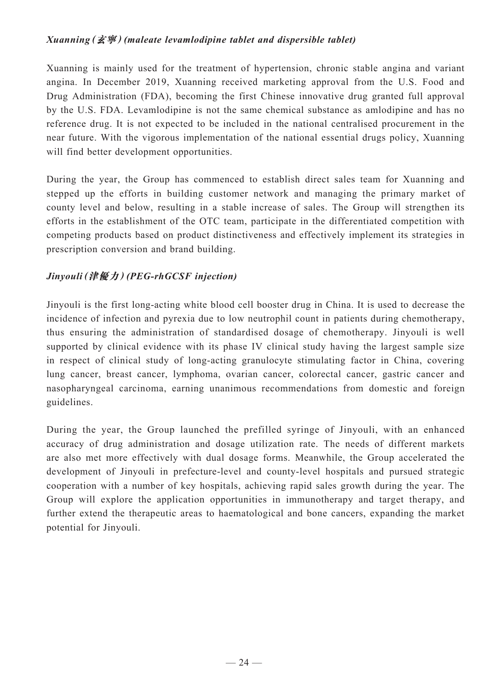## *Xuanning***(玄寧)***(maleate levamlodipine tablet and dispersible tablet)*

Xuanning is mainly used for the treatment of hypertension, chronic stable angina and variant angina. In December 2019, Xuanning received marketing approval from the U.S. Food and Drug Administration (FDA), becoming the first Chinese innovative drug granted full approval by the U.S. FDA. Levamlodipine is not the same chemical substance as amlodipine and has no reference drug. It is not expected to be included in the national centralised procurement in the near future. With the vigorous implementation of the national essential drugs policy, Xuanning will find better development opportunities.

During the year, the Group has commenced to establish direct sales team for Xuanning and stepped up the efforts in building customer network and managing the primary market of county level and below, resulting in a stable increase of sales. The Group will strengthen its efforts in the establishment of the OTC team, participate in the differentiated competition with competing products based on product distinctiveness and effectively implement its strategies in prescription conversion and brand building.

## *Jinyouli***(津優力)***(PEG-rhGCSF injection)*

Jinyouli is the first long-acting white blood cell booster drug in China. It is used to decrease the incidence of infection and pyrexia due to low neutrophil count in patients during chemotherapy, thus ensuring the administration of standardised dosage of chemotherapy. Jinyouli is well supported by clinical evidence with its phase IV clinical study having the largest sample size in respect of clinical study of long-acting granulocyte stimulating factor in China, covering lung cancer, breast cancer, lymphoma, ovarian cancer, colorectal cancer, gastric cancer and nasopharyngeal carcinoma, earning unanimous recommendations from domestic and foreign guidelines.

During the year, the Group launched the prefilled syringe of Jinyouli, with an enhanced accuracy of drug administration and dosage utilization rate. The needs of different markets are also met more effectively with dual dosage forms. Meanwhile, the Group accelerated the development of Jinyouli in prefecture-level and county-level hospitals and pursued strategic cooperation with a number of key hospitals, achieving rapid sales growth during the year. The Group will explore the application opportunities in immunotherapy and target therapy, and further extend the therapeutic areas to haematological and bone cancers, expanding the market potential for Jinyouli.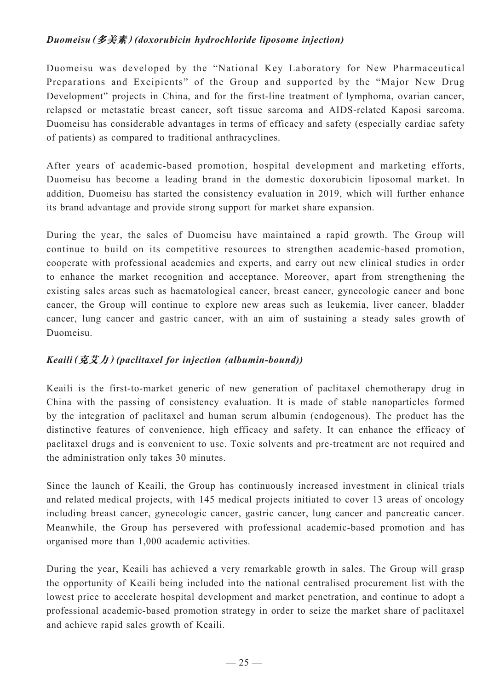## *Duomeisu***(多美素)***(doxorubicin hydrochloride liposome injection)*

Duomeisu was developed by the "National Key Laboratory for New Pharmaceutical Preparations and Excipients" of the Group and supported by the "Major New Drug Development" projects in China, and for the first-line treatment of lymphoma, ovarian cancer, relapsed or metastatic breast cancer, soft tissue sarcoma and AIDS-related Kaposi sarcoma. Duomeisu has considerable advantages in terms of efficacy and safety (especially cardiac safety of patients) as compared to traditional anthracyclines.

After years of academic-based promotion, hospital development and marketing efforts, Duomeisu has become a leading brand in the domestic doxorubicin liposomal market. In addition, Duomeisu has started the consistency evaluation in 2019, which will further enhance its brand advantage and provide strong support for market share expansion.

During the year, the sales of Duomeisu have maintained a rapid growth. The Group will continue to build on its competitive resources to strengthen academic-based promotion, cooperate with professional academies and experts, and carry out new clinical studies in order to enhance the market recognition and acceptance. Moreover, apart from strengthening the existing sales areas such as haematological cancer, breast cancer, gynecologic cancer and bone cancer, the Group will continue to explore new areas such as leukemia, liver cancer, bladder cancer, lung cancer and gastric cancer, with an aim of sustaining a steady sales growth of Duomeisu.

## *Keaili***(克艾力)***(paclitaxel for injection (albumin-bound))*

Keaili is the first-to-market generic of new generation of paclitaxel chemotherapy drug in China with the passing of consistency evaluation. It is made of stable nanoparticles formed by the integration of paclitaxel and human serum albumin (endogenous). The product has the distinctive features of convenience, high efficacy and safety. It can enhance the efficacy of paclitaxel drugs and is convenient to use. Toxic solvents and pre-treatment are not required and the administration only takes 30 minutes.

Since the launch of Keaili, the Group has continuously increased investment in clinical trials and related medical projects, with 145 medical projects initiated to cover 13 areas of oncology including breast cancer, gynecologic cancer, gastric cancer, lung cancer and pancreatic cancer. Meanwhile, the Group has persevered with professional academic-based promotion and has organised more than 1,000 academic activities.

During the year, Keaili has achieved a very remarkable growth in sales. The Group will grasp the opportunity of Keaili being included into the national centralised procurement list with the lowest price to accelerate hospital development and market penetration, and continue to adopt a professional academic-based promotion strategy in order to seize the market share of paclitaxel and achieve rapid sales growth of Keaili.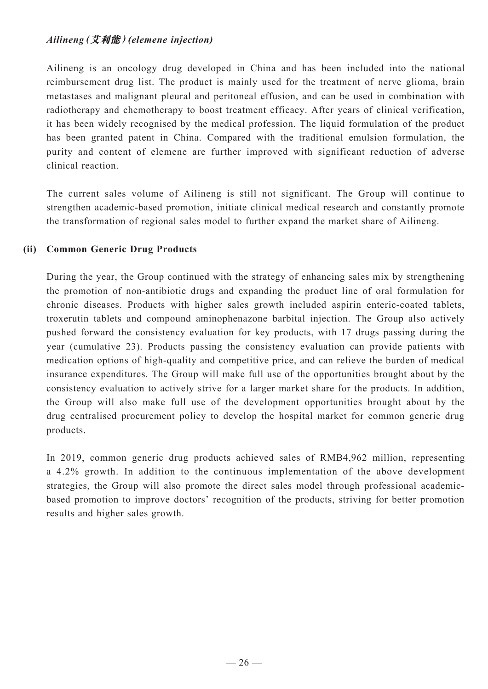## *Ailineng***(艾利能)***(elemene injection)*

Ailineng is an oncology drug developed in China and has been included into the national reimbursement drug list. The product is mainly used for the treatment of nerve glioma, brain metastases and malignant pleural and peritoneal effusion, and can be used in combination with radiotherapy and chemotherapy to boost treatment efficacy. After years of clinical verification, it has been widely recognised by the medical profession. The liquid formulation of the product has been granted patent in China. Compared with the traditional emulsion formulation, the purity and content of elemene are further improved with significant reduction of adverse clinical reaction.

The current sales volume of Ailineng is still not significant. The Group will continue to strengthen academic-based promotion, initiate clinical medical research and constantly promote the transformation of regional sales model to further expand the market share of Ailineng.

## **(ii) Common Generic Drug Products**

During the year, the Group continued with the strategy of enhancing sales mix by strengthening the promotion of non-antibiotic drugs and expanding the product line of oral formulation for chronic diseases. Products with higher sales growth included aspirin enteric-coated tablets, troxerutin tablets and compound aminophenazone barbital injection. The Group also actively pushed forward the consistency evaluation for key products, with 17 drugs passing during the year (cumulative 23). Products passing the consistency evaluation can provide patients with medication options of high-quality and competitive price, and can relieve the burden of medical insurance expenditures. The Group will make full use of the opportunities brought about by the consistency evaluation to actively strive for a larger market share for the products. In addition, the Group will also make full use of the development opportunities brought about by the drug centralised procurement policy to develop the hospital market for common generic drug products.

In 2019, common generic drug products achieved sales of RMB4,962 million, representing a 4.2% growth. In addition to the continuous implementation of the above development strategies, the Group will also promote the direct sales model through professional academicbased promotion to improve doctors' recognition of the products, striving for better promotion results and higher sales growth.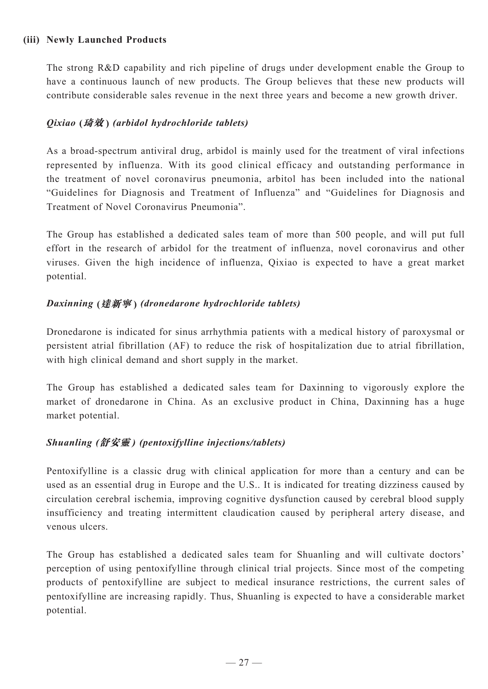### **(iii) Newly Launched Products**

The strong R&D capability and rich pipeline of drugs under development enable the Group to have a continuous launch of new products. The Group believes that these new products will contribute considerable sales revenue in the next three years and become a new growth driver.

## *Qixiao* **(琦效 )** *(arbidol hydrochloride tablets)*

As a broad-spectrum antiviral drug, arbidol is mainly used for the treatment of viral infections represented by influenza. With its good clinical efficacy and outstanding performance in the treatment of novel coronavirus pneumonia, arbitol has been included into the national "Guidelines for Diagnosis and Treatment of Influenza" and "Guidelines for Diagnosis and Treatment of Novel Coronavirus Pneumonia".

The Group has established a dedicated sales team of more than 500 people, and will put full effort in the research of arbidol for the treatment of influenza, novel coronavirus and other viruses. Given the high incidence of influenza, Qixiao is expected to have a great market potential.

## *Daxinning* **(達新寧 )** *(dronedarone hydrochloride tablets)*

Dronedarone is indicated for sinus arrhythmia patients with a medical history of paroxysmal or persistent atrial fibrillation (AF) to reduce the risk of hospitalization due to atrial fibrillation, with high clinical demand and short supply in the market.

The Group has established a dedicated sales team for Daxinning to vigorously explore the market of dronedarone in China. As an exclusive product in China, Daxinning has a huge market potential.

## *Shuanling (***舒安靈** *) (pentoxifylline injections/tablets)*

Pentoxifylline is a classic drug with clinical application for more than a century and can be used as an essential drug in Europe and the U.S.. It is indicated for treating dizziness caused by circulation cerebral ischemia, improving cognitive dysfunction caused by cerebral blood supply insufficiency and treating intermittent claudication caused by peripheral artery disease, and venous ulcers.

The Group has established a dedicated sales team for Shuanling and will cultivate doctors' perception of using pentoxifylline through clinical trial projects. Since most of the competing products of pentoxifylline are subject to medical insurance restrictions, the current sales of pentoxifylline are increasing rapidly. Thus, Shuanling is expected to have a considerable market potential.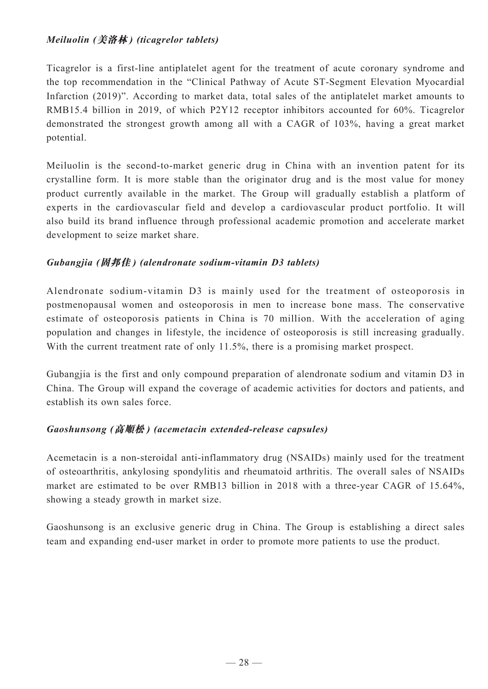## *Meiluolin (***美洛林** *) (ticagrelor tablets)*

Ticagrelor is a first-line antiplatelet agent for the treatment of acute coronary syndrome and the top recommendation in the "Clinical Pathway of Acute ST-Segment Elevation Myocardial Infarction (2019)". According to market data, total sales of the antiplatelet market amounts to RMB15.4 billion in 2019, of which P2Y12 receptor inhibitors accounted for 60%. Ticagrelor demonstrated the strongest growth among all with a CAGR of 103%, having a great market potential.

Meiluolin is the second-to-market generic drug in China with an invention patent for its crystalline form. It is more stable than the originator drug and is the most value for money product currently available in the market. The Group will gradually establish a platform of experts in the cardiovascular field and develop a cardiovascular product portfolio. It will also build its brand influence through professional academic promotion and accelerate market development to seize market share.

## *Gubangjia (***固邦佳** *) (alendronate sodium-vitamin D3 tablets)*

Alendronate sodium-vitamin D3 is mainly used for the treatment of osteoporosis in postmenopausal women and osteoporosis in men to increase bone mass. The conservative estimate of osteoporosis patients in China is 70 million. With the acceleration of aging population and changes in lifestyle, the incidence of osteoporosis is still increasing gradually. With the current treatment rate of only 11.5%, there is a promising market prospect.

Gubangjia is the first and only compound preparation of alendronate sodium and vitamin D3 in China. The Group will expand the coverage of academic activities for doctors and patients, and establish its own sales force.

## *Gaoshunsong (***高順松** *) (acemetacin extended-release capsules)*

Acemetacin is a non-steroidal anti-inflammatory drug (NSAIDs) mainly used for the treatment of osteoarthritis, ankylosing spondylitis and rheumatoid arthritis. The overall sales of NSAIDs market are estimated to be over RMB13 billion in 2018 with a three-year CAGR of 15.64%, showing a steady growth in market size.

Gaoshunsong is an exclusive generic drug in China. The Group is establishing a direct sales team and expanding end-user market in order to promote more patients to use the product.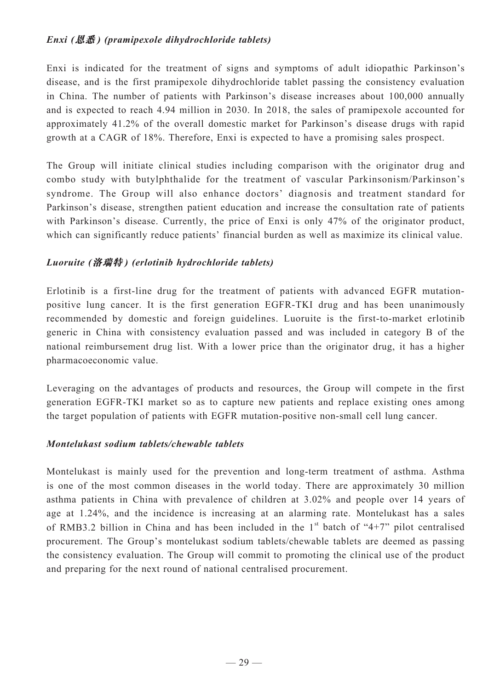## *Enxi (***恩悉** *) (pramipexole dihydrochloride tablets)*

Enxi is indicated for the treatment of signs and symptoms of adult idiopathic Parkinson's disease, and is the first pramipexole dihydrochloride tablet passing the consistency evaluation in China. The number of patients with Parkinson's disease increases about 100,000 annually and is expected to reach 4.94 million in 2030. In 2018, the sales of pramipexole accounted for approximately 41.2% of the overall domestic market for Parkinson's disease drugs with rapid growth at a CAGR of 18%. Therefore, Enxi is expected to have a promising sales prospect.

The Group will initiate clinical studies including comparison with the originator drug and combo study with butylphthalide for the treatment of vascular Parkinsonism/Parkinson's syndrome. The Group will also enhance doctors' diagnosis and treatment standard for Parkinson's disease, strengthen patient education and increase the consultation rate of patients with Parkinson's disease. Currently, the price of Enxi is only 47% of the originator product, which can significantly reduce patients' financial burden as well as maximize its clinical value.

## *Luoruite (***洛瑞特** *) (erlotinib hydrochloride tablets)*

Erlotinib is a first-line drug for the treatment of patients with advanced EGFR mutationpositive lung cancer. It is the first generation EGFR-TKI drug and has been unanimously recommended by domestic and foreign guidelines. Luoruite is the first-to-market erlotinib generic in China with consistency evaluation passed and was included in category B of the national reimbursement drug list. With a lower price than the originator drug, it has a higher pharmacoeconomic value.

Leveraging on the advantages of products and resources, the Group will compete in the first generation EGFR-TKI market so as to capture new patients and replace existing ones among the target population of patients with EGFR mutation-positive non-small cell lung cancer.

### *Montelukast sodium tablets/chewable tablets*

Montelukast is mainly used for the prevention and long-term treatment of asthma. Asthma is one of the most common diseases in the world today. There are approximately 30 million asthma patients in China with prevalence of children at 3.02% and people over 14 years of age at 1.24%, and the incidence is increasing at an alarming rate. Montelukast has a sales of RMB3.2 billion in China and has been included in the  $1<sup>st</sup>$  batch of "4+7" pilot centralised procurement. The Group's montelukast sodium tablets/chewable tablets are deemed as passing the consistency evaluation. The Group will commit to promoting the clinical use of the product and preparing for the next round of national centralised procurement.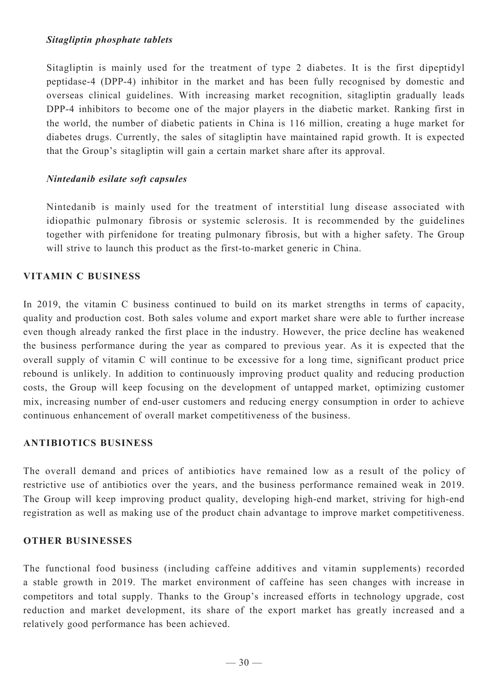### *Sitagliptin phosphate tablets*

Sitagliptin is mainly used for the treatment of type 2 diabetes. It is the first dipeptidyl peptidase-4 (DPP-4) inhibitor in the market and has been fully recognised by domestic and overseas clinical guidelines. With increasing market recognition, sitagliptin gradually leads DPP-4 inhibitors to become one of the major players in the diabetic market. Ranking first in the world, the number of diabetic patients in China is 116 million, creating a huge market for diabetes drugs. Currently, the sales of sitagliptin have maintained rapid growth. It is expected that the Group's sitagliptin will gain a certain market share after its approval.

## *Nintedanib esilate soft capsules*

Nintedanib is mainly used for the treatment of interstitial lung disease associated with idiopathic pulmonary fibrosis or systemic sclerosis. It is recommended by the guidelines together with pirfenidone for treating pulmonary fibrosis, but with a higher safety. The Group will strive to launch this product as the first-to-market generic in China.

## **Vitamin C Business**

In 2019, the vitamin C business continued to build on its market strengths in terms of capacity, quality and production cost. Both sales volume and export market share were able to further increase even though already ranked the first place in the industry. However, the price decline has weakened the business performance during the year as compared to previous year. As it is expected that the overall supply of vitamin C will continue to be excessive for a long time, significant product price rebound is unlikely. In addition to continuously improving product quality and reducing production costs, the Group will keep focusing on the development of untapped market, optimizing customer mix, increasing number of end-user customers and reducing energy consumption in order to achieve continuous enhancement of overall market competitiveness of the business.

### **Antibiotics Business**

The overall demand and prices of antibiotics have remained low as a result of the policy of restrictive use of antibiotics over the years, and the business performance remained weak in 2019. The Group will keep improving product quality, developing high-end market, striving for high-end registration as well as making use of the product chain advantage to improve market competitiveness.

### **Other Businesses**

The functional food business (including caffeine additives and vitamin supplements) recorded a stable growth in 2019. The market environment of caffeine has seen changes with increase in competitors and total supply. Thanks to the Group's increased efforts in technology upgrade, cost reduction and market development, its share of the export market has greatly increased and a relatively good performance has been achieved.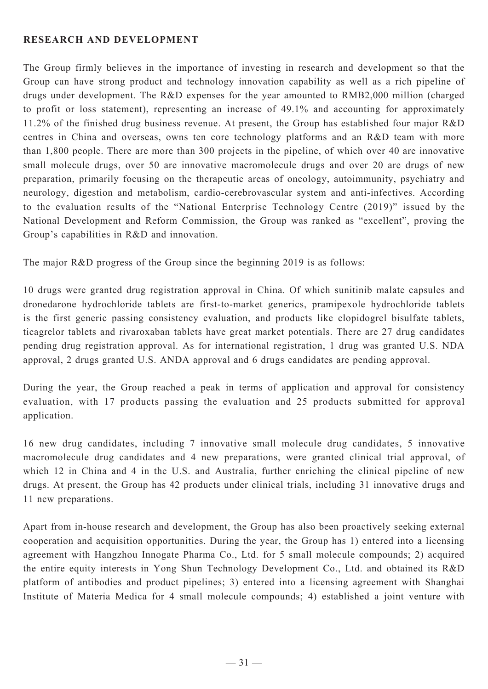### **Research and Development**

The Group firmly believes in the importance of investing in research and development so that the Group can have strong product and technology innovation capability as well as a rich pipeline of drugs under development. The R&D expenses for the year amounted to RMB2,000 million (charged to profit or loss statement), representing an increase of 49.1% and accounting for approximately 11.2% of the finished drug business revenue. At present, the Group has established four major R&D centres in China and overseas, owns ten core technology platforms and an R&D team with more than 1,800 people. There are more than 300 projects in the pipeline, of which over 40 are innovative small molecule drugs, over 50 are innovative macromolecule drugs and over 20 are drugs of new preparation, primarily focusing on the therapeutic areas of oncology, autoimmunity, psychiatry and neurology, digestion and metabolism, cardio-cerebrovascular system and anti-infectives. According to the evaluation results of the "National Enterprise Technology Centre (2019)" issued by the National Development and Reform Commission, the Group was ranked as "excellent", proving the Group's capabilities in R&D and innovation.

The major R&D progress of the Group since the beginning 2019 is as follows:

10 drugs were granted drug registration approval in China. Of which sunitinib malate capsules and dronedarone hydrochloride tablets are first-to-market generics, pramipexole hydrochloride tablets is the first generic passing consistency evaluation, and products like clopidogrel bisulfate tablets, ticagrelor tablets and rivaroxaban tablets have great market potentials. There are 27 drug candidates pending drug registration approval. As for international registration, 1 drug was granted U.S. NDA approval, 2 drugs granted U.S. ANDA approval and 6 drugs candidates are pending approval.

During the year, the Group reached a peak in terms of application and approval for consistency evaluation, with 17 products passing the evaluation and 25 products submitted for approval application.

16 new drug candidates, including 7 innovative small molecule drug candidates, 5 innovative macromolecule drug candidates and 4 new preparations, were granted clinical trial approval, of which 12 in China and 4 in the U.S. and Australia, further enriching the clinical pipeline of new drugs. At present, the Group has 42 products under clinical trials, including 31 innovative drugs and 11 new preparations.

Apart from in-house research and development, the Group has also been proactively seeking external cooperation and acquisition opportunities. During the year, the Group has 1) entered into a licensing agreement with Hangzhou Innogate Pharma Co., Ltd. for 5 small molecule compounds; 2) acquired the entire equity interests in Yong Shun Technology Development Co., Ltd. and obtained its R&D platform of antibodies and product pipelines; 3) entered into a licensing agreement with Shanghai Institute of Materia Medica for 4 small molecule compounds; 4) established a joint venture with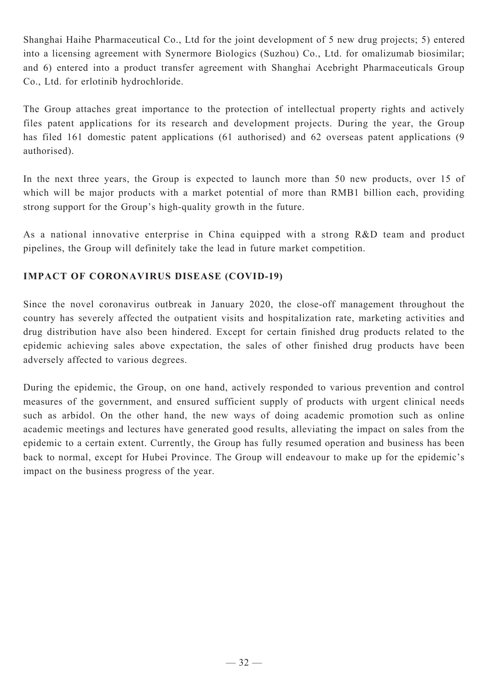Shanghai Haihe Pharmaceutical Co., Ltd for the joint development of 5 new drug projects; 5) entered into a licensing agreement with Synermore Biologics (Suzhou) Co., Ltd. for omalizumab biosimilar; and 6) entered into a product transfer agreement with Shanghai Acebright Pharmaceuticals Group Co., Ltd. for erlotinib hydrochloride.

The Group attaches great importance to the protection of intellectual property rights and actively files patent applications for its research and development projects. During the year, the Group has filed 161 domestic patent applications (61 authorised) and 62 overseas patent applications (9 authorised).

In the next three years, the Group is expected to launch more than 50 new products, over 15 of which will be major products with a market potential of more than RMB1 billion each, providing strong support for the Group's high-quality growth in the future.

As a national innovative enterprise in China equipped with a strong R&D team and product pipelines, the Group will definitely take the lead in future market competition.

## **Impact of Coronavirus Disease (COVID-19)**

Since the novel coronavirus outbreak in January 2020, the close-off management throughout the country has severely affected the outpatient visits and hospitalization rate, marketing activities and drug distribution have also been hindered. Except for certain finished drug products related to the epidemic achieving sales above expectation, the sales of other finished drug products have been adversely affected to various degrees.

During the epidemic, the Group, on one hand, actively responded to various prevention and control measures of the government, and ensured sufficient supply of products with urgent clinical needs such as arbidol. On the other hand, the new ways of doing academic promotion such as online academic meetings and lectures have generated good results, alleviating the impact on sales from the epidemic to a certain extent. Currently, the Group has fully resumed operation and business has been back to normal, except for Hubei Province. The Group will endeavour to make up for the epidemic's impact on the business progress of the year.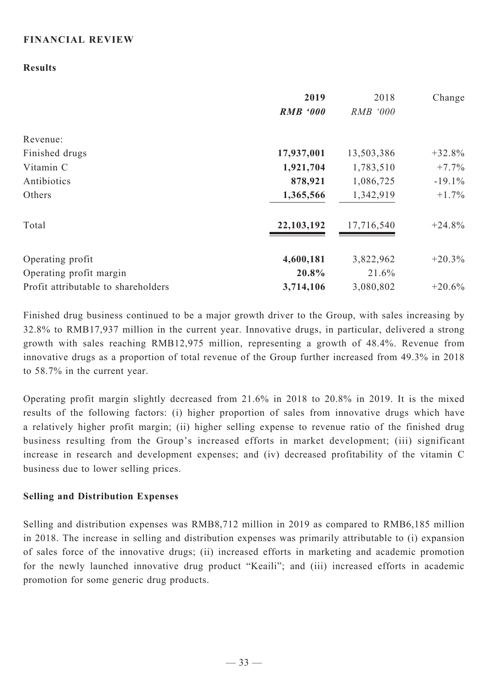## **FINANCIAL REVIEW**

### **Results**

|                                     | 2019<br><b>RMB '000</b> | 2018<br>RMB '000 | Change    |
|-------------------------------------|-------------------------|------------------|-----------|
| Revenue:                            |                         |                  |           |
| Finished drugs                      | 17,937,001              | 13,503,386       | $+32.8%$  |
| Vitamin C                           | 1,921,704               | 1,783,510        | $+7.7\%$  |
| Antibiotics                         | 878,921                 | 1,086,725        | $-19.1\%$ |
| Others                              | 1,365,566               | 1,342,919        | $+1.7\%$  |
| Total                               | 22,103,192              | 17,716,540       | $+24.8%$  |
| Operating profit                    | 4,600,181               | 3,822,962        | $+20.3%$  |
| Operating profit margin             | 20.8%                   | 21.6%            |           |
| Profit attributable to shareholders | 3,714,106               | 3,080,802        | $+20.6%$  |

Finished drug business continued to be a major growth driver to the Group, with sales increasing by 32.8% to RMB17,937 million in the current year. Innovative drugs, in particular, delivered a strong growth with sales reaching RMB12,975 million, representing a growth of 48.4%. Revenue from innovative drugs as a proportion of total revenue of the Group further increased from 49.3% in 2018 to 58.7% in the current year.

Operating profit margin slightly decreased from 21.6% in 2018 to 20.8% in 2019. It is the mixed results of the following factors: (i) higher proportion of sales from innovative drugs which have a relatively higher profit margin; (ii) higher selling expense to revenue ratio of the finished drug business resulting from the Group's increased efforts in market development; (iii) significant increase in research and development expenses; and (iv) decreased profitability of the vitamin C business due to lower selling prices.

#### **Selling and Distribution Expenses**

Selling and distribution expenses was RMB8,712 million in 2019 as compared to RMB6,185 million in 2018. The increase in selling and distribution expenses was primarily attributable to (i) expansion of sales force of the innovative drugs; (ii) increased efforts in marketing and academic promotion for the newly launched innovative drug product "Keaili"; and (iii) increased efforts in academic promotion for some generic drug products.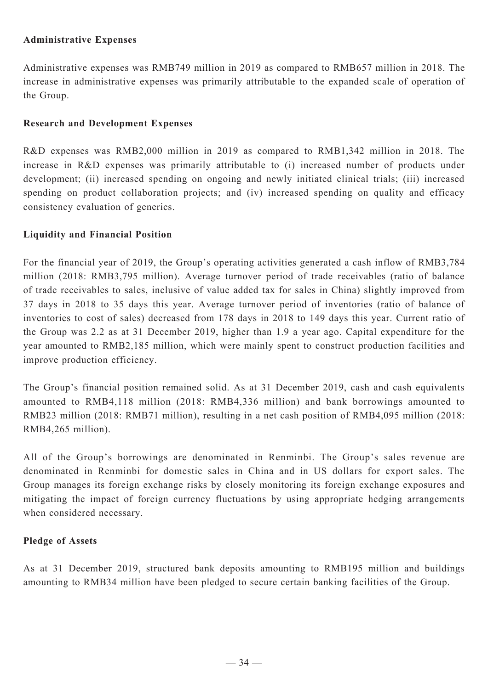## **Administrative Expenses**

Administrative expenses was RMB749 million in 2019 as compared to RMB657 million in 2018. The increase in administrative expenses was primarily attributable to the expanded scale of operation of the Group.

### **Research and Development Expenses**

R&D expenses was RMB2,000 million in 2019 as compared to RMB1,342 million in 2018. The increase in R&D expenses was primarily attributable to (i) increased number of products under development; (ii) increased spending on ongoing and newly initiated clinical trials; (iii) increased spending on product collaboration projects; and (iv) increased spending on quality and efficacy consistency evaluation of generics.

## **Liquidity and Financial Position**

For the financial year of 2019, the Group's operating activities generated a cash inflow of RMB3,784 million (2018: RMB3,795 million). Average turnover period of trade receivables (ratio of balance of trade receivables to sales, inclusive of value added tax for sales in China) slightly improved from 37 days in 2018 to 35 days this year. Average turnover period of inventories (ratio of balance of inventories to cost of sales) decreased from 178 days in 2018 to 149 days this year. Current ratio of the Group was 2.2 as at 31 December 2019, higher than 1.9 a year ago. Capital expenditure for the year amounted to RMB2,185 million, which were mainly spent to construct production facilities and improve production efficiency.

The Group's financial position remained solid. As at 31 December 2019, cash and cash equivalents amounted to RMB4,118 million (2018: RMB4,336 million) and bank borrowings amounted to RMB23 million (2018: RMB71 million), resulting in a net cash position of RMB4,095 million (2018: RMB4,265 million).

All of the Group's borrowings are denominated in Renminbi. The Group's sales revenue are denominated in Renminbi for domestic sales in China and in US dollars for export sales. The Group manages its foreign exchange risks by closely monitoring its foreign exchange exposures and mitigating the impact of foreign currency fluctuations by using appropriate hedging arrangements when considered necessary.

## **Pledge of Assets**

As at 31 December 2019, structured bank deposits amounting to RMB195 million and buildings amounting to RMB34 million have been pledged to secure certain banking facilities of the Group.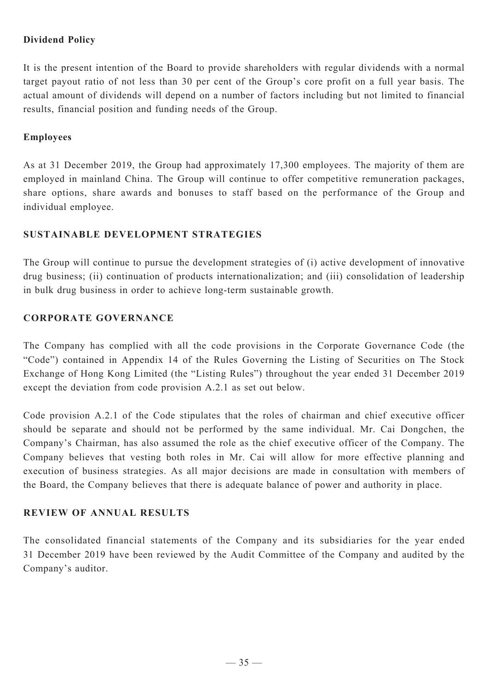## **Dividend Policy**

It is the present intention of the Board to provide shareholders with regular dividends with a normal target payout ratio of not less than 30 per cent of the Group's core profit on a full year basis. The actual amount of dividends will depend on a number of factors including but not limited to financial results, financial position and funding needs of the Group.

### **Employees**

As at 31 December 2019, the Group had approximately 17,300 employees. The majority of them are employed in mainland China. The Group will continue to offer competitive remuneration packages, share options, share awards and bonuses to staff based on the performance of the Group and individual employee.

### **SUSTAINABLE DEVELOPMENT STRATEGIES**

The Group will continue to pursue the development strategies of (i) active development of innovative drug business; (ii) continuation of products internationalization; and (iii) consolidation of leadership in bulk drug business in order to achieve long-term sustainable growth.

### **CORPORATE GOVERNANCE**

The Company has complied with all the code provisions in the Corporate Governance Code (the "Code") contained in Appendix 14 of the Rules Governing the Listing of Securities on The Stock Exchange of Hong Kong Limited (the "Listing Rules") throughout the year ended 31 December 2019 except the deviation from code provision A.2.1 as set out below.

Code provision A.2.1 of the Code stipulates that the roles of chairman and chief executive officer should be separate and should not be performed by the same individual. Mr. Cai Dongchen, the Company's Chairman, has also assumed the role as the chief executive officer of the Company. The Company believes that vesting both roles in Mr. Cai will allow for more effective planning and execution of business strategies. As all major decisions are made in consultation with members of the Board, the Company believes that there is adequate balance of power and authority in place.

### **REVIEW OF ANNUAL RESULTS**

The consolidated financial statements of the Company and its subsidiaries for the year ended 31 December 2019 have been reviewed by the Audit Committee of the Company and audited by the Company's auditor.